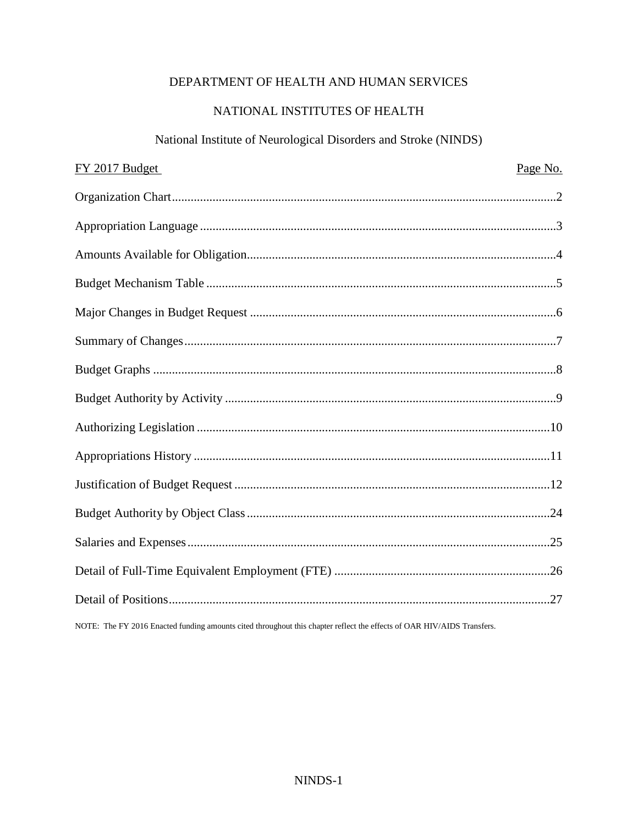## DEPARTMENT OF HEALTH AND HUMAN SERVICES

# NATIONAL INSTITUTES OF HEALTH

# National Institute of Neurological Disorders and Stroke (NINDS)

| FY 2017 Budget                                                                                                         | Page No. |
|------------------------------------------------------------------------------------------------------------------------|----------|
|                                                                                                                        |          |
|                                                                                                                        |          |
|                                                                                                                        |          |
|                                                                                                                        |          |
|                                                                                                                        |          |
|                                                                                                                        |          |
|                                                                                                                        |          |
|                                                                                                                        |          |
|                                                                                                                        |          |
|                                                                                                                        |          |
|                                                                                                                        |          |
|                                                                                                                        |          |
|                                                                                                                        |          |
|                                                                                                                        |          |
|                                                                                                                        |          |
| NOTE: The FY 2016 Enacted funding amounts cited throughout this chapter reflect the effects of OAR HIV/AIDS Transfers. |          |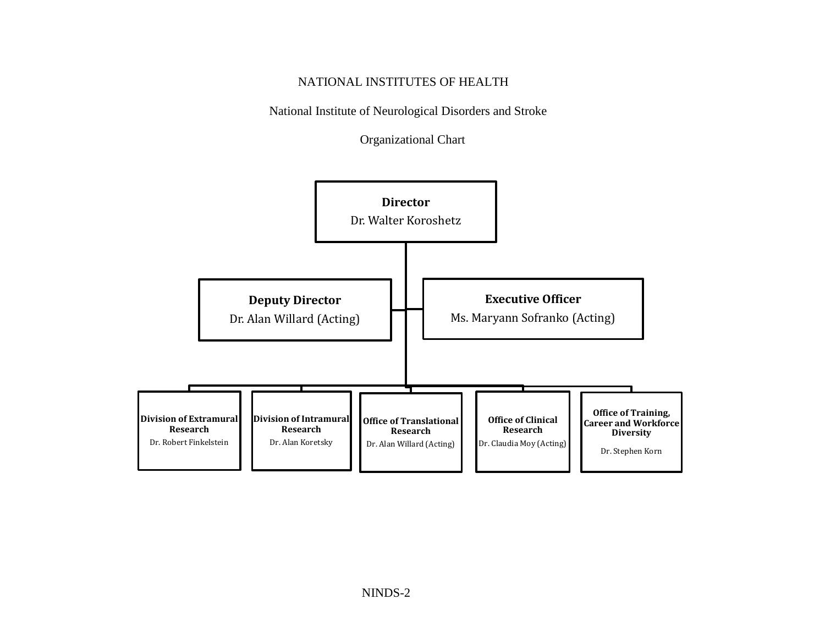### NATIONAL INSTITUTES OF HEALTH

National Institute of Neurological Disorders and Stroke

Organizational Chart

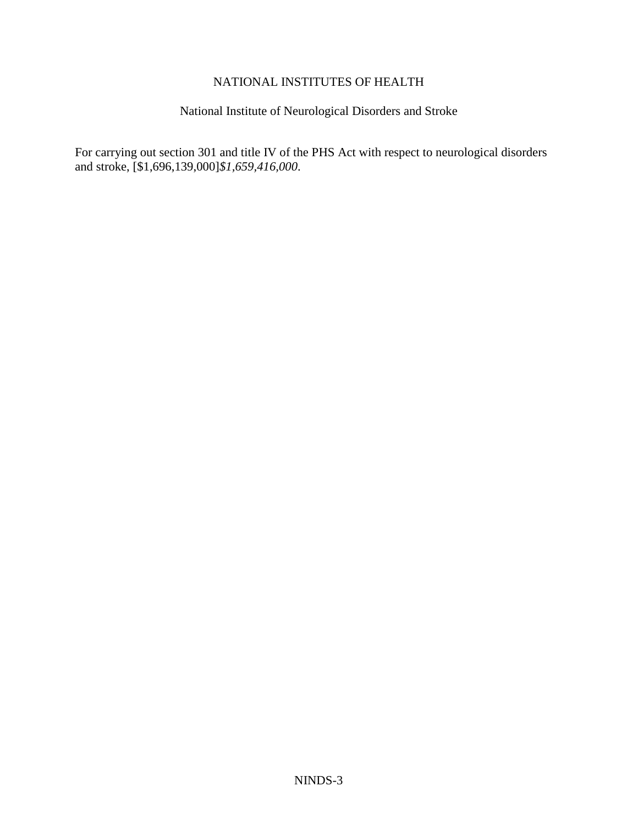### NATIONAL INSTITUTES OF HEALTH

# National Institute of Neurological Disorders and Stroke

For carrying out section 301 and title IV of the PHS Act with respect to neurological disorders and stroke, [\$1,696,139,000]*\$1,659,416,000*.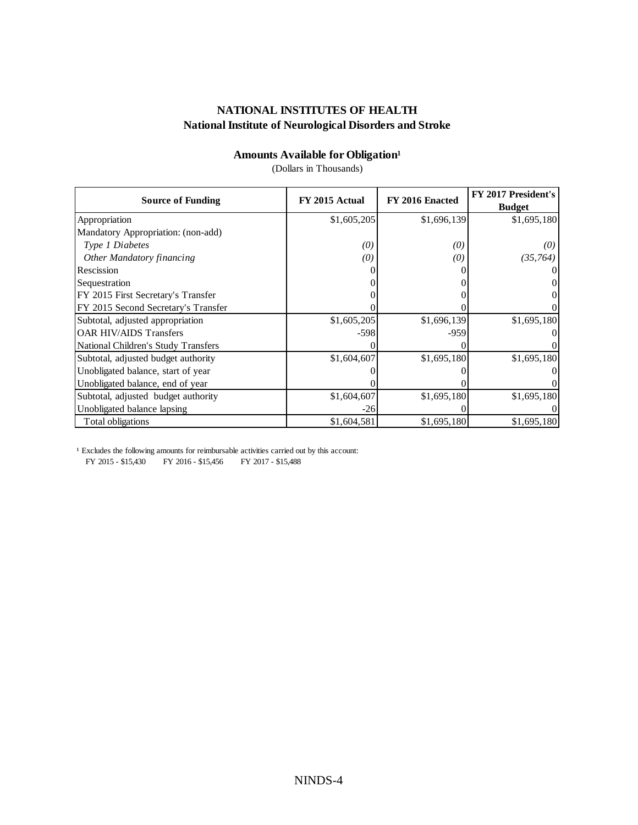# **Amounts Available for Obligation**<sup>1</sup>

(Dollars in Thousands)

| <b>Source of Funding</b>            | FY 2015 Actual    | FY 2016 Enacted | FY 2017 President's<br><b>Budget</b> |
|-------------------------------------|-------------------|-----------------|--------------------------------------|
| Appropriation                       | \$1,605,205       | \$1,696,139     | \$1,695,180                          |
| Mandatory Appropriation: (non-add)  |                   |                 |                                      |
| Type 1 Diabetes                     | $\left( 0\right)$ | (0)             | (0)                                  |
| Other Mandatory financing           | (0)               | (0)             | (35, 764)                            |
| Rescission                          |                   |                 |                                      |
| Sequestration                       |                   |                 |                                      |
| FY 2015 First Secretary's Transfer  |                   |                 |                                      |
| FY 2015 Second Secretary's Transfer |                   |                 |                                      |
| Subtotal, adjusted appropriation    | \$1,605,205       | \$1,696,139     | \$1,695,180                          |
| <b>OAR HIV/AIDS Transfers</b>       | $-598$            | -959            |                                      |
| National Children's Study Transfers |                   |                 |                                      |
| Subtotal, adjusted budget authority | \$1,604,607       | \$1,695,180     | \$1,695,180                          |
| Unobligated balance, start of year  |                   |                 |                                      |
| Unobligated balance, end of year    |                   |                 |                                      |
| Subtotal, adjusted budget authority | \$1,604,607       | \$1,695,180     | \$1,695,180                          |
| Unobligated balance lapsing         | $-26$             |                 |                                      |
| Total obligations                   | \$1,604,581       | \$1,695,180     | \$1,695,180                          |

<sup>1</sup> Excludes the following amounts for reimbursable activities carried out by this account:

FY 2015 - \$15,430 FY 2016 - \$15,456 FY 2017 - \$15,488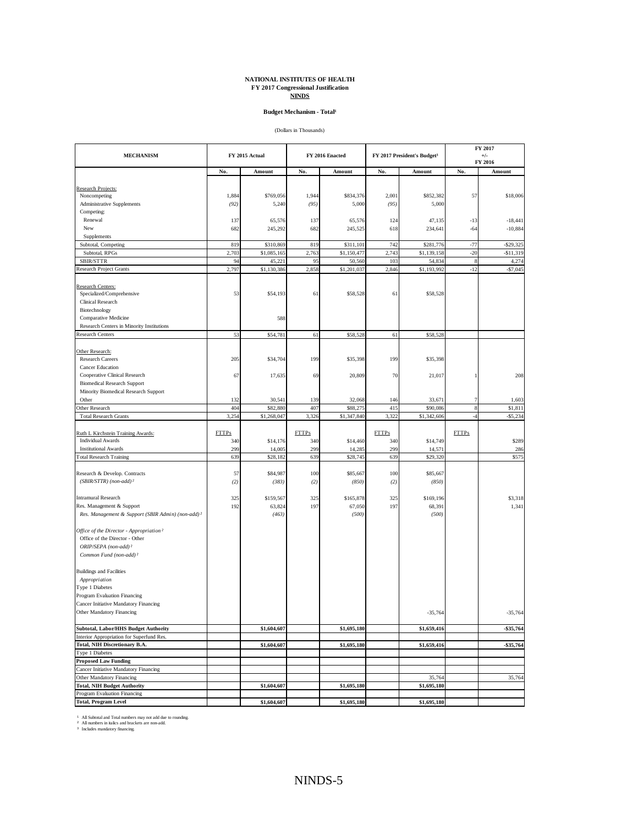# **NATIONAL INSTITUTES OF HEALTH FY 2017 Congressional Justification NINDS**

#### **Budget Mechanism - Total<sup>1</sup>**

(Dollars in Thousands)

|                                                                                       |              |                | FY 2017      |                 |              |                                         |              |                  |
|---------------------------------------------------------------------------------------|--------------|----------------|--------------|-----------------|--------------|-----------------------------------------|--------------|------------------|
| <b>MECHANISM</b>                                                                      |              | FY 2015 Actual |              | FY 2016 Enacted |              | FY 2017 President's Budget <sup>3</sup> |              | $+/-$<br>FY 2016 |
|                                                                                       | No.          | Amount         | No.          | Amount          | No.          | Amount                                  | No.          | Amount           |
|                                                                                       |              |                |              |                 |              |                                         |              |                  |
| Research Projects:                                                                    |              |                |              |                 |              |                                         |              |                  |
| Noncompeting                                                                          | 1,884        | \$769,056      | 1,944        | \$834,376       | 2,001        | \$852,382                               | 57           | \$18,006         |
| Administrative Supplements                                                            | (92)         | 5,240          | (95)         | 5,000           | (95)         | 5,000                                   |              |                  |
| Competing:<br>Renewal                                                                 | 137          | 65,576         | 137          | 65,576          | 124          | 47,135                                  | $-13$        | $-18,441$        |
| New                                                                                   | 682          | 245,292        | 682          | 245,525         | 618          | 234,641                                 | $-64$        | $-10,884$        |
| Supplements                                                                           |              |                |              |                 |              |                                         |              |                  |
| Subtotal, Competing                                                                   | 819          | \$310,869      | 819          | \$311,101       | 742          | \$281,776                               | $-77$        | $-$ \$29,325     |
| Subtotal, RPGs                                                                        | 2,703        | \$1,085,165    | 2,763        | \$1,150,477     | 2,743        | \$1,139,158                             | $-20$        | $-$11,319$       |
| SBIR/STTR                                                                             | 94           | 45,221         | 95           | 50,560          | 103          | 54,834                                  | $\bf 8$      | 4,274            |
| <b>Research Project Grants</b>                                                        | 2,797        | \$1,130,386    | 2,858        | \$1,201,037     | 2,846        | \$1,193,992                             | $-12$        | $-$7,045$        |
|                                                                                       |              |                |              |                 |              |                                         |              |                  |
| Research Centers:                                                                     |              |                |              |                 |              |                                         |              |                  |
| Specialized/Comprehensive                                                             | 53           | \$54,193       | 61           | \$58,528        | 61           | \$58,528                                |              |                  |
| Clinical Research                                                                     |              |                |              |                 |              |                                         |              |                  |
| Biotechnology                                                                         |              |                |              |                 |              |                                         |              |                  |
| Comparative Medicine                                                                  |              | 588            |              |                 |              |                                         |              |                  |
| Research Centers in Minority Institutions                                             |              |                |              |                 |              |                                         |              |                  |
| <b>Research Centers</b>                                                               | 53           | \$54,781       | 61           | \$58,528        | 61           | \$58,528                                |              |                  |
|                                                                                       |              |                |              |                 |              |                                         |              |                  |
| Other Research:                                                                       |              |                |              |                 |              |                                         |              |                  |
| <b>Research Careers</b>                                                               | 205          | \$34,704       | 199          | \$35,398        | 199          | \$35,398                                |              |                  |
| Cancer Education                                                                      |              |                |              |                 |              |                                         |              |                  |
| Cooperative Clinical Research                                                         | 67           | 17,635         | 69           | 20,809          | 70           | 21,017                                  | 1            | 208              |
| <b>Biomedical Research Support</b>                                                    |              |                |              |                 |              |                                         |              |                  |
| Minority Biomedical Research Support<br>Other                                         | 132          | 30,541         | 139          | 32,068          | 146          | 33,671                                  |              | 1,603            |
| Other Research                                                                        | 404          | \$82,880       | 407          | \$88,275        | 41.          | \$90,086                                | 7<br>$\bf 8$ | \$1,811          |
| <b>Total Research Grants</b>                                                          | 3,254        | \$1,268,047    | 3,326        | \$1,347,840     | 3,322        | \$1,342,606                             | $-4$         | $-$5,234$        |
|                                                                                       |              |                |              |                 |              |                                         |              |                  |
| Ruth L Kirchstein Training Awards:                                                    | <b>FTTPs</b> |                | <b>FTTPs</b> |                 | <b>FTTPs</b> |                                         | <b>FTTPs</b> |                  |
| <b>Individual Awards</b>                                                              | 340          | \$14,176       | 340          | \$14,460        | 340          | \$14,749                                |              | \$289            |
| <b>Institutional Awards</b>                                                           | 299          | 14,005         | 299          | 14,285          | 299          | 14,571                                  |              | 286              |
| <b>Total Research Training</b>                                                        | 639          | \$28,182       | 639          | \$28,745        | 639          | \$29,320                                |              | \$575            |
|                                                                                       |              |                |              |                 |              |                                         |              |                  |
| Research & Develop. Contracts                                                         | 57           | \$84,987       | 100          | \$85,667        | 100          | \$85,667                                |              |                  |
| $(SBIR/STTR)$ (non-add) <sup>2</sup>                                                  | (2)          | (383)          | (2)          | (850)           | (2)          | (850)                                   |              |                  |
|                                                                                       |              |                |              |                 |              |                                         |              |                  |
| <b>Intramural Research</b>                                                            | 325          | \$159,567      | 325          | \$165,878       | 325          | \$169,196                               |              | \$3,318          |
| Res. Management & Support                                                             | 192          | 63,824         | 197          | 67,050          | 197          | 68,391                                  |              | 1,341            |
| Res. Management & Support (SBIR Admin) (non-add) <sup>2</sup>                         |              | (463)          |              | (500)           |              | (500)                                   |              |                  |
|                                                                                       |              |                |              |                 |              |                                         |              |                  |
| Office of the Director - Appropriation <sup>2</sup><br>Office of the Director - Other |              |                |              |                 |              |                                         |              |                  |
| ORIP/SEPA (non-add) <sup>2</sup>                                                      |              |                |              |                 |              |                                         |              |                  |
| Common Fund (non-add) <sup>2</sup>                                                    |              |                |              |                 |              |                                         |              |                  |
|                                                                                       |              |                |              |                 |              |                                         |              |                  |
| <b>Buildings and Facilities</b>                                                       |              |                |              |                 |              |                                         |              |                  |
| Appropriation                                                                         |              |                |              |                 |              |                                         |              |                  |
| Type 1 Diabetes                                                                       |              |                |              |                 |              |                                         |              |                  |
| Program Evaluation Financing                                                          |              |                |              |                 |              |                                         |              |                  |
| Cancer Initiative Mandatory Financing                                                 |              |                |              |                 |              |                                         |              |                  |
| Other Mandatory Financing                                                             |              |                |              |                 |              | $-35,764$                               |              | $-35,764$        |
|                                                                                       |              |                |              |                 |              |                                         |              |                  |
| Subtotal, Labor/HHS Budget Authority                                                  |              | \$1,604,607    |              | \$1,695,180     |              | \$1,659,416                             |              | -\$35,764        |
| Interior Appropriation for Superfund Res.                                             |              |                |              |                 |              |                                         |              |                  |
| Total, NIH Discretionary B.A.                                                         |              | \$1,604,607    |              | \$1,695,180     |              | \$1,659,416                             |              | \$35,764         |
| Type 1 Diabetes                                                                       |              |                |              |                 |              |                                         |              |                  |
| <b>Proposed Law Funding</b>                                                           |              |                |              |                 |              |                                         |              |                  |
| Cancer Initiative Mandatory Financing                                                 |              |                |              |                 |              |                                         |              |                  |
| Other Mandatory Financing                                                             |              |                |              |                 |              | 35,764                                  |              | 35,764           |
| <b>Total, NIH Budget Authority</b>                                                    |              | \$1,604,607    |              | \$1,695,180     |              | \$1,695,180                             |              |                  |
| Program Evaluation Financing                                                          |              |                |              |                 |              |                                         |              |                  |
| <b>Total, Program Level</b>                                                           |              | \$1,604,607    |              | \$1,695,180     |              | \$1,695,180                             |              |                  |

All Subtotal and Total numbers may not add due to rounding. All numbers in italics and brackets are non-add. Includes mandatory financing.

¹ ² ³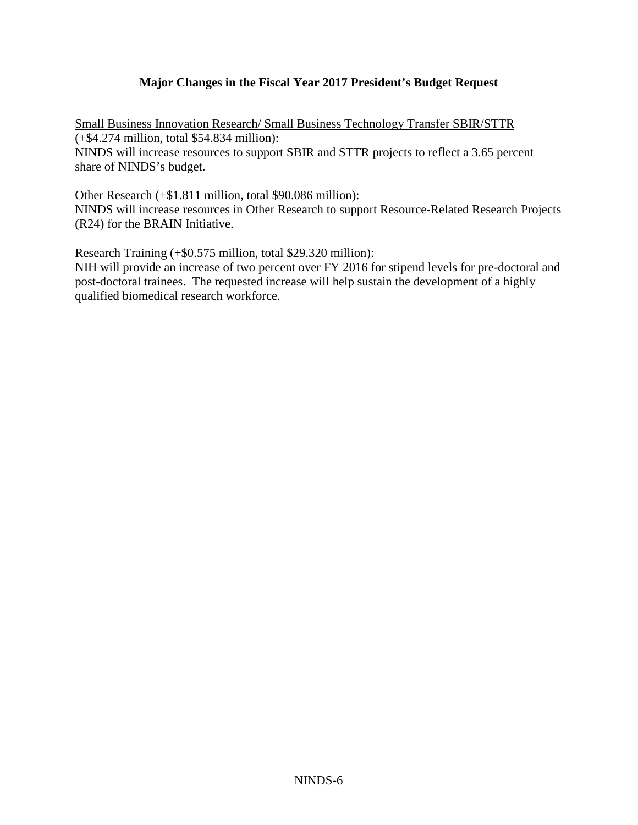### **Major Changes in the Fiscal Year 2017 President's Budget Request**

Small Business Innovation Research/ Small Business Technology Transfer SBIR/STTR (+\$4.274 million, total \$54.834 million):

NINDS will increase resources to support SBIR and STTR projects to reflect a 3.65 percent share of NINDS's budget.

Other Research (+\$1.811 million, total \$90.086 million):

NINDS will increase resources in Other Research to support Resource-Related Research Projects (R24) for the BRAIN Initiative.

Research Training (+\$0.575 million, total \$29.320 million):

NIH will provide an increase of two percent over FY 2016 for stipend levels for pre-doctoral and post-doctoral trainees. The requested increase will help sustain the development of a highly qualified biomedical research workforce.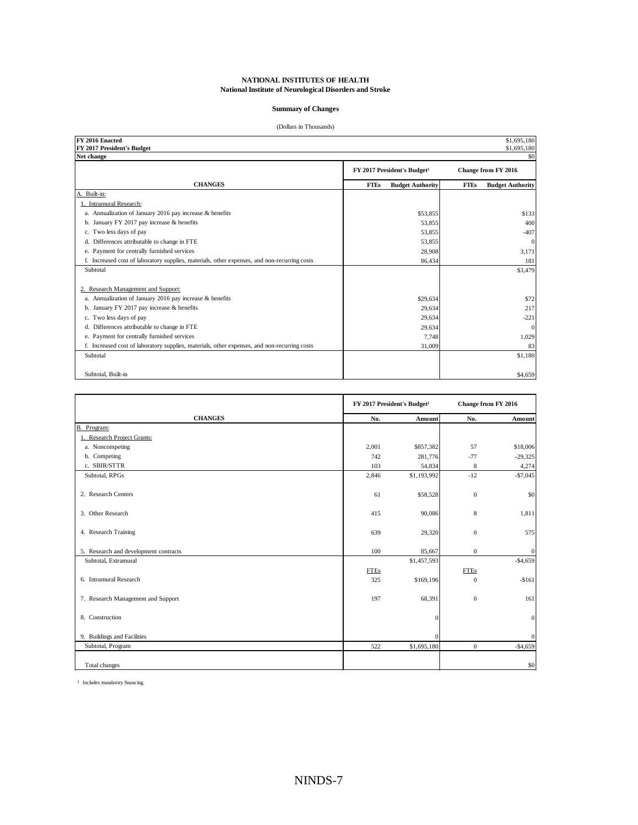#### **Summary of Changes**

#### (Dollars in Thousands)

| FY 2016 Enacted                                                                              |                                         | \$1,695,180                            |
|----------------------------------------------------------------------------------------------|-----------------------------------------|----------------------------------------|
| FY 2017 President's Budget<br>Net change                                                     |                                         | \$1,695,180<br>\$0                     |
|                                                                                              |                                         |                                        |
|                                                                                              | FY 2017 President's Budget <sup>1</sup> | Change from FY 2016                    |
| <b>CHANGES</b>                                                                               | <b>Budget Authority</b><br><b>FTEs</b>  | <b>FTEs</b><br><b>Budget Authority</b> |
| Built-in:<br>А.                                                                              |                                         |                                        |
| 1. Intramural Research:                                                                      |                                         |                                        |
| a. Annualization of January 2016 pay increase & benefits                                     | \$53,855                                | \$133                                  |
| b. January FY 2017 pay increase $&$ benefits                                                 | 53,855                                  | 400                                    |
| c. Two less days of pay                                                                      | 53,855                                  | $-407$                                 |
| d. Differences attributable to change in FTE                                                 | 53,855                                  | $\mathbf{0}$                           |
| e. Payment for centrally furnished services                                                  | 28,908                                  | 3,171                                  |
| f. Increased cost of laboratory supplies, materials, other expenses, and non-recurring costs | 86,434                                  | 181                                    |
| Subtotal                                                                                     |                                         | \$3,479                                |
|                                                                                              |                                         |                                        |
| 2. Research Management and Support:                                                          |                                         |                                        |
| a. Annualization of January 2016 pay increase & benefits                                     | \$29,634                                | \$72                                   |
| b. January FY 2017 pay increase & benefits                                                   | 29,634                                  | 217                                    |
| c. Two less days of pay                                                                      | 29,634                                  | $-221$                                 |
| d. Differences attributable to change in FTE                                                 | 29,634                                  | $\mathbf{0}$                           |
| e. Payment for centrally furnished services                                                  | 7,748                                   | 1,029                                  |
| f. Increased cost of laboratory supplies, materials, other expenses, and non-recurring costs | 31,009                                  | 83                                     |
| Subtotal                                                                                     |                                         | \$1,180                                |
|                                                                                              |                                         |                                        |
| Subtotal, Built-in                                                                           |                                         | \$4,659                                |

|                                       |             | FY 2017 President's Budget <sup>1</sup> | Change from FY 2016 |              |  |
|---------------------------------------|-------------|-----------------------------------------|---------------------|--------------|--|
| <b>CHANGES</b>                        | No.         | Amount                                  | No.                 | Amount       |  |
| B. Program:                           |             |                                         |                     |              |  |
| 1. Research Project Grants:           |             |                                         |                     |              |  |
| a. Noncompeting                       | 2,001       | \$857,382                               | 57                  | \$18,006     |  |
| b. Competing                          | 742         | 281,776                                 | $-77$               | $-29,325$    |  |
| c. SBIR/STTR                          | 103         | 54,834                                  | 8                   | 4,274        |  |
| Subtotal, RPGs                        | 2,846       | \$1,193,992                             | $-12$               | $-$7,045$    |  |
| 2. Research Centers                   | 61          | \$58,528                                | $\Omega$            | \$0          |  |
| 3. Other Research                     | 415         | 90,086                                  | 8                   | 1,811        |  |
| 4. Research Training                  | 639         | 29,320                                  | $\mathbf{0}$        | 575          |  |
| 5. Research and development contracts | 100         | 85,667                                  | $\mathbf{0}$        | $\bf{0}$     |  |
| Subtotal, Extramural                  |             | \$1,457,593                             |                     | $-$4,659$    |  |
|                                       | <b>FTEs</b> |                                         | <b>FTEs</b>         |              |  |
| 6. Intramural Research                | 325         | \$169,196                               | $\mathbf{0}$        | $-$161$      |  |
| 7. Research Management and Support    | 197         | 68,391                                  | $\mathbf{0}$        | 161          |  |
| 8. Construction                       |             | $\vert$ 0                               |                     | $\mathbf{0}$ |  |
| 9. Buildings and Facilities           |             | $\Omega$                                |                     | $\mathbf{0}$ |  |
| Subtotal, Program                     | 522         | \$1,695,180                             | $\mathbf{0}$        | $-$4,659$    |  |
| Total changes                         |             |                                         |                     | \$0          |  |

<sup>1</sup> Includes mandatory financing.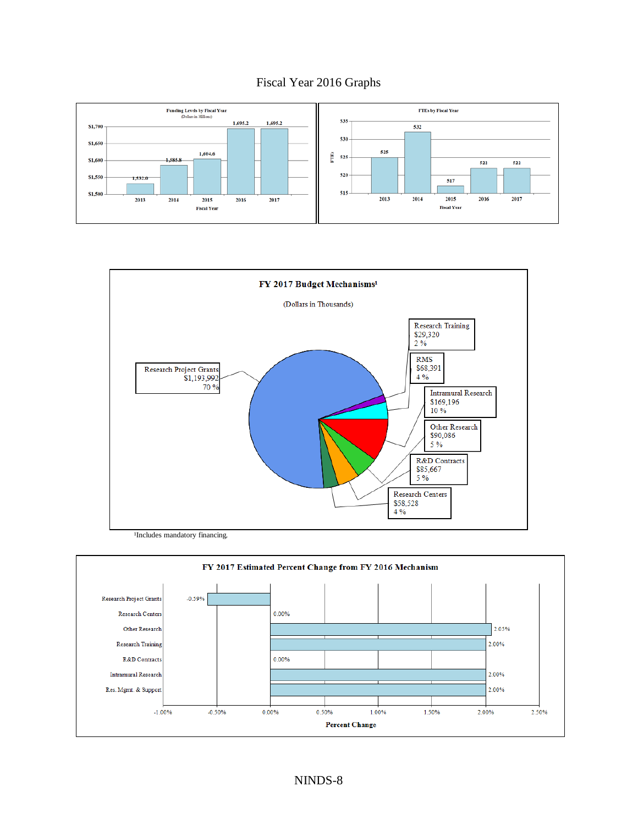### Fiscal Year 2016 Graphs





<sup>1</sup>Includes mandatory financing.

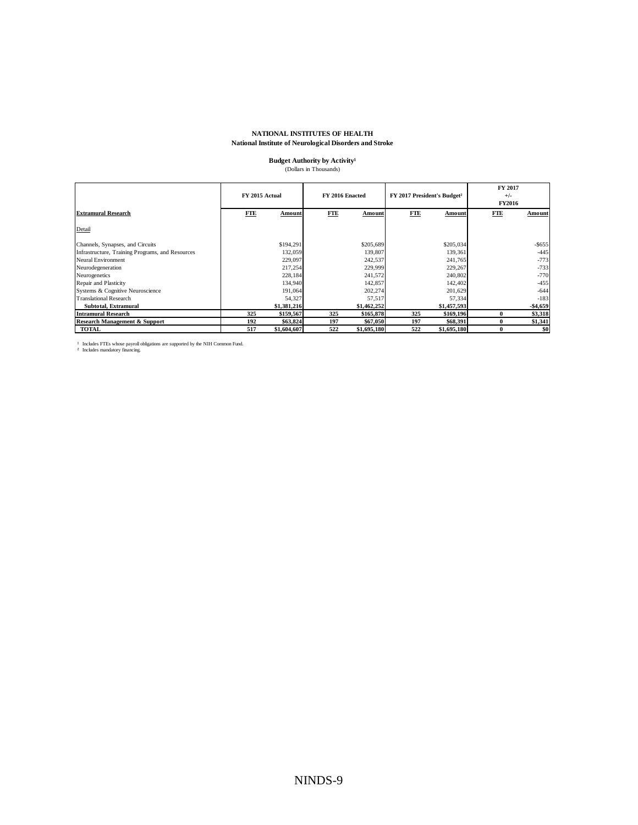### **NATIONAL INSTITUTES OF HEALTH**

#### **National Institute of Neurological Disorders and Stroke**

### **Budget Authority by Activity**<sup>1</sup> (Dollars in Thousands)

|                                                  | FY 2015 Actual |             | FY 2016 Enacted |             | FY 2017 President's Budget <sup>2</sup> |             | FY 2017<br>$+/-$<br><b>FY2016</b> |           |
|--------------------------------------------------|----------------|-------------|-----------------|-------------|-----------------------------------------|-------------|-----------------------------------|-----------|
| <b>Extramural Research</b>                       | FTE            | Amount      | FTE             | Amount      | <b>FTE</b>                              | Amount      | <b>FTE</b>                        | Amount    |
| Detail                                           |                |             |                 |             |                                         |             |                                   |           |
| Channels, Synapses, and Circuits                 |                | \$194,291   |                 | \$205,689   |                                         | \$205,034   |                                   | $-$ \$655 |
| Infrastructure, Training Programs, and Resources |                | 132,059     |                 | 139,807     |                                         | 139,361     |                                   | $-445$    |
| Neural Environment                               |                | 229,097     |                 | 242,537     |                                         | 241,765     |                                   | $-773$    |
| Neurodegeneration                                |                | 217,254     |                 | 229,999     |                                         | 229,267     |                                   | $-733$    |
| Neurogenetics                                    |                | 228,184     |                 | 241,572     |                                         | 240,802     |                                   | $-770$    |
| Repair and Plasticity                            |                | 134,940     |                 | 142,857     |                                         | 142,402     |                                   | $-455$    |
| Systems & Cognitive Neuroscience                 |                | 191,064     |                 | 202,274     |                                         | 201.629     |                                   | $-644$    |
| <b>Translational Research</b>                    |                | 54,327      |                 | 57,517      |                                         | 57,334      |                                   | $-183$    |
| Subtotal, Extramural                             |                | \$1,381,216 |                 | \$1,462,252 |                                         | \$1,457,593 |                                   | $-$4,659$ |
| <b>Intramural Research</b>                       | 325            | \$159,567   | 325             | \$165,878   | 325                                     | \$169,196   | $\bf{0}$                          | \$3,318   |
| <b>Research Management &amp; Support</b>         | 192            | \$63,824    | 197             | \$67,050    | 197                                     | \$68,391    | 0                                 | \$1,341   |
| <b>TOTAL</b>                                     | 517            | \$1,604,607 | 522             | \$1,695,180 | 522                                     | \$1,695,180 | $\bf{0}$                          | \$0       |

<sup>1</sup> Includes FTEs whose payroll obligations are supported by the NIH Common Fund.<br><sup>2</sup> Includes mandatory financing.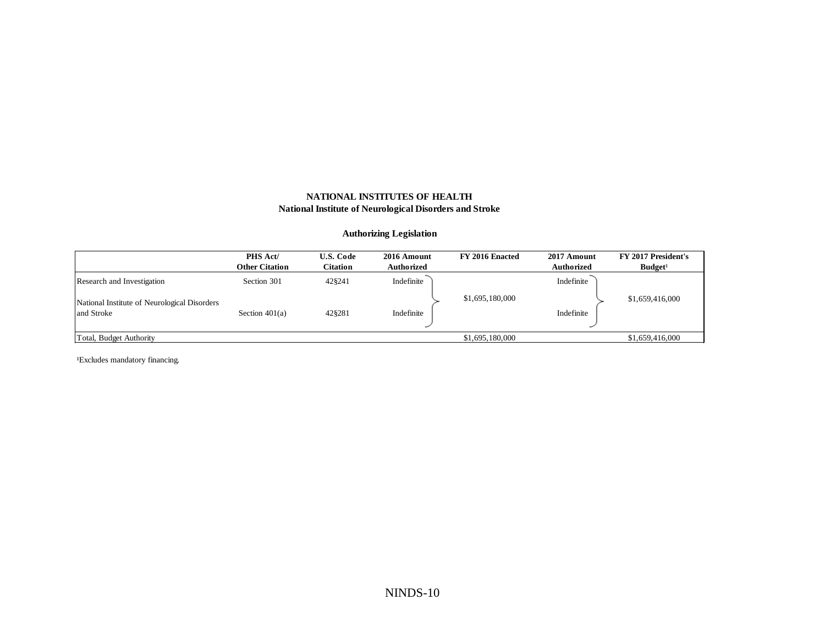### **Authorizing Legislation**

|                                              | PHS Act/<br><b>Other Citation</b> | <b>U.S. Code</b><br><b>Citation</b> | 2016 Amount<br>Authorized | FY 2016 Enacted | 2017 Amount<br><b>Authorized</b> | FY 2017 President's<br>Budget <sup>1</sup> |
|----------------------------------------------|-----------------------------------|-------------------------------------|---------------------------|-----------------|----------------------------------|--------------------------------------------|
| Research and Investigation                   | Section 301                       | 428241                              | Indefinite                |                 | Indefinite                       |                                            |
| National Institute of Neurological Disorders |                                   |                                     |                           | \$1,695,180,000 |                                  | \$1,659,416,000                            |
| and Stroke                                   | Section $401(a)$                  | 428281                              | Indefinite                |                 | Indefinite                       |                                            |
| Total, Budget Authority                      |                                   |                                     |                           | \$1,695,180,000 |                                  | \$1,659,416,000                            |

<sup>1</sup>Excludes mandatory financing.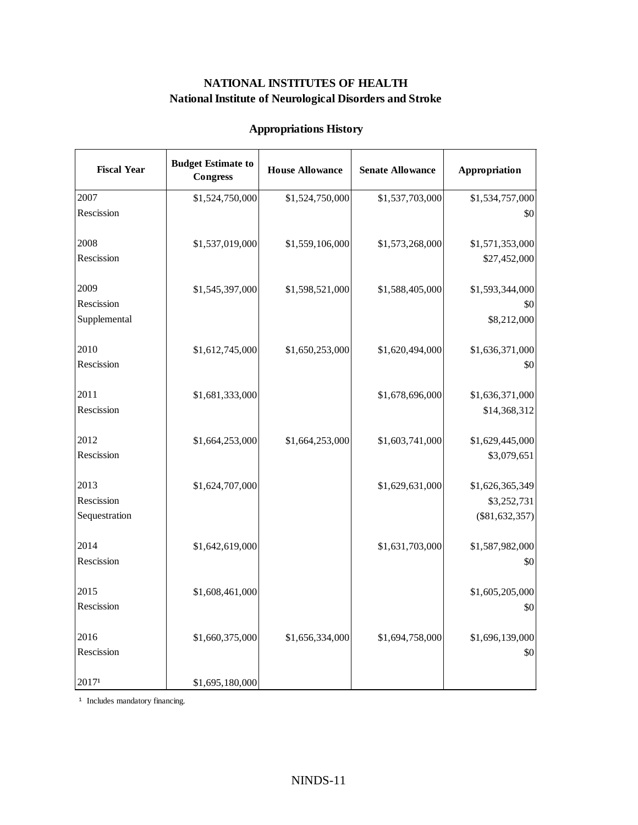# **Appropriations History**

| <b>Fiscal Year</b> | <b>Budget Estimate to</b><br><b>Congress</b> | <b>House Allowance</b> | <b>Senate Allowance</b> | Appropriation    |
|--------------------|----------------------------------------------|------------------------|-------------------------|------------------|
| 2007               | \$1,524,750,000                              | \$1,524,750,000        | \$1,537,703,000         | \$1,534,757,000  |
| Rescission         |                                              |                        |                         | \$0              |
| 2008               |                                              |                        |                         |                  |
| Rescission         | \$1,537,019,000                              | \$1,559,106,000        | \$1,573,268,000         | \$1,571,353,000  |
|                    |                                              |                        |                         | \$27,452,000     |
| 2009               | \$1,545,397,000                              | \$1,598,521,000        | \$1,588,405,000         | \$1,593,344,000  |
| Rescission         |                                              |                        |                         | \$0              |
| Supplemental       |                                              |                        |                         | \$8,212,000      |
| 2010               | \$1,612,745,000                              | \$1,650,253,000        | \$1,620,494,000         | \$1,636,371,000  |
| Rescission         |                                              |                        |                         | \$0              |
|                    |                                              |                        |                         |                  |
| 2011               | \$1,681,333,000                              |                        | \$1,678,696,000         | \$1,636,371,000  |
| Rescission         |                                              |                        |                         | \$14,368,312     |
|                    |                                              |                        |                         |                  |
| 2012               | \$1,664,253,000                              | \$1,664,253,000        | \$1,603,741,000         | \$1,629,445,000  |
| Rescission         |                                              |                        |                         | \$3,079,651      |
| 2013               | \$1,624,707,000                              |                        | \$1,629,631,000         | \$1,626,365,349  |
| Rescission         |                                              |                        |                         | \$3,252,731      |
| Sequestration      |                                              |                        |                         | $(\$81,632,357)$ |
| 2014               | \$1,642,619,000                              |                        | \$1,631,703,000         | \$1,587,982,000  |
| Rescission         |                                              |                        |                         | \$0              |
|                    |                                              |                        |                         |                  |
| 2015               | \$1,608,461,000                              |                        |                         | \$1,605,205,000  |
| Rescission         |                                              |                        |                         | \$0              |
|                    |                                              |                        |                         |                  |
| 2016               | \$1,660,375,000                              | \$1,656,334,000        | \$1,694,758,000         | \$1,696,139,000  |
| Rescission         |                                              |                        |                         | \$0              |
| 20171              | \$1,695,180,000                              |                        |                         |                  |

<sup>1</sup> Includes mandatory financing.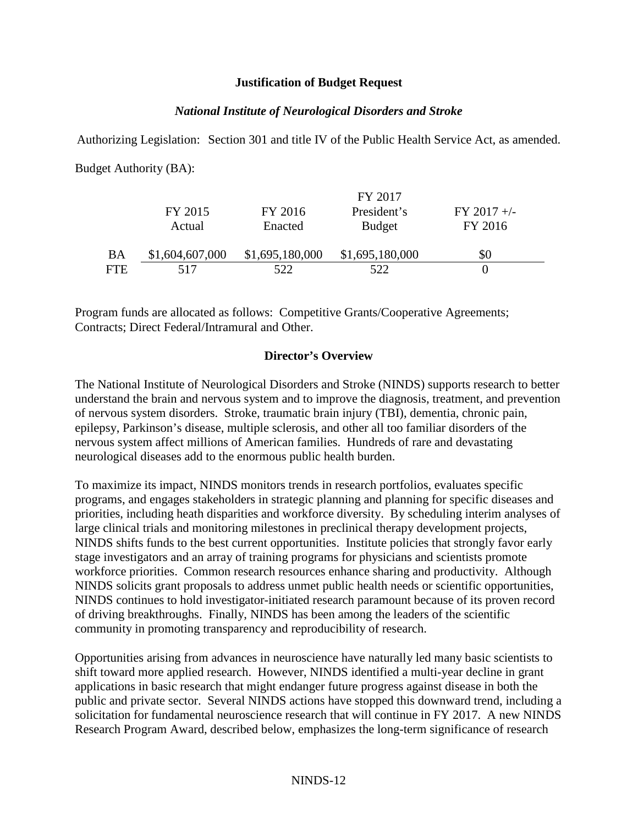### **Justification of Budget Request**

### *National Institute of Neurological Disorders and Stroke*

Authorizing Legislation: Section 301 and title IV of the Public Health Service Act, as amended. Budget Authority (BA):

|           |                 |                 | FY 2017         |               |  |
|-----------|-----------------|-----------------|-----------------|---------------|--|
|           | FY 2015         | FY 2016         | President's     | $FY$ 2017 +/- |  |
|           | Actual          | Enacted         | <b>Budget</b>   | FY 2016       |  |
| <b>BA</b> | \$1,604,607,000 | \$1,695,180,000 | \$1,695,180,000 | \$0           |  |
|           |                 |                 |                 |               |  |
| FTE       | 517             | 522             | 522             |               |  |

Program funds are allocated as follows: Competitive Grants/Cooperative Agreements; Contracts; Direct Federal/Intramural and Other.

### **Director's Overview**

The National Institute of Neurological Disorders and Stroke (NINDS) supports research to better understand the brain and nervous system and to improve the diagnosis, treatment, and prevention of nervous system disorders. Stroke, traumatic brain injury (TBI), dementia, chronic pain, epilepsy, Parkinson's disease, multiple sclerosis, and other all too familiar disorders of the nervous system affect millions of American families. Hundreds of rare and devastating neurological diseases add to the enormous public health burden.

To maximize its impact, NINDS monitors trends in research portfolios, evaluates specific programs, and engages stakeholders in strategic planning and planning for specific diseases and priorities, including heath disparities and workforce diversity. By scheduling interim analyses of large clinical trials and monitoring milestones in preclinical therapy development projects, NINDS shifts funds to the best current opportunities. Institute policies that strongly favor early stage investigators and an array of training programs for physicians and scientists promote workforce priorities. Common research resources enhance sharing and productivity. Although NINDS solicits grant proposals to address unmet public health needs or scientific opportunities, NINDS continues to hold investigator-initiated research paramount because of its proven record of driving breakthroughs. Finally, NINDS has been among the leaders of the scientific community in promoting transparency and reproducibility of research.

Opportunities arising from advances in neuroscience have naturally led many basic scientists to shift toward more applied research. However, NINDS identified a multi-year decline in grant applications in basic research that might endanger future progress against disease in both the public and private sector. Several NINDS actions have stopped this downward trend, including a solicitation for fundamental neuroscience research that will continue in FY 2017. A new NINDS Research Program Award, described below, emphasizes the long-term significance of research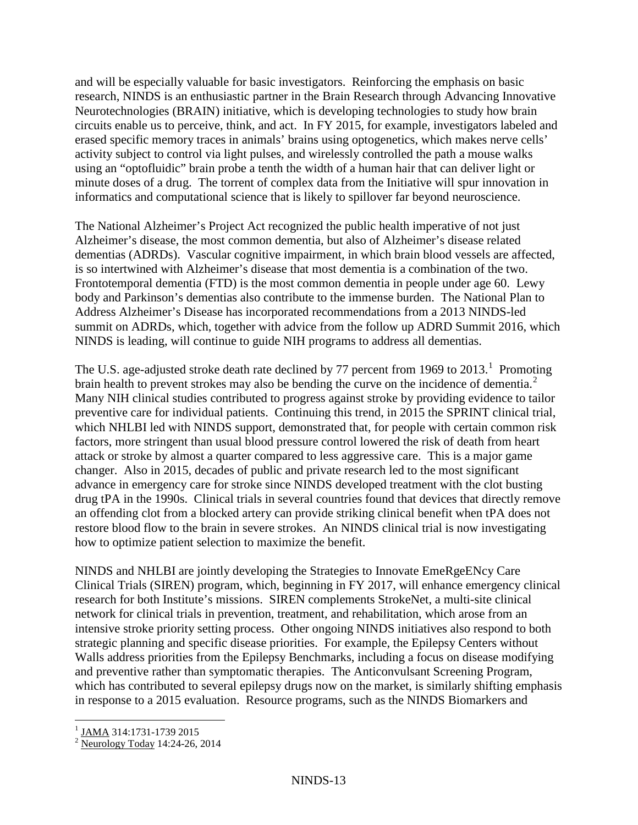and will be especially valuable for basic investigators. Reinforcing the emphasis on basic research, NINDS is an enthusiastic partner in the Brain Research through Advancing Innovative Neurotechnologies (BRAIN) initiative, which is developing technologies to study how brain circuits enable us to perceive, think, and act. In FY 2015, for example, investigators labeled and erased specific memory traces in animals' brains using optogenetics, which makes nerve cells' activity subject to control via light pulses, and wirelessly controlled the path a mouse walks using an "optofluidic" brain probe a tenth the width of a human hair that can deliver light or minute doses of a drug. The torrent of complex data from the Initiative will spur innovation in informatics and computational science that is likely to spillover far beyond neuroscience.

The National Alzheimer's Project Act recognized the public health imperative of not just Alzheimer's disease, the most common dementia, but also of Alzheimer's disease related dementias (ADRDs). Vascular cognitive impairment, in which brain blood vessels are affected, is so intertwined with Alzheimer's disease that most dementia is a combination of the two. Frontotemporal dementia (FTD) is the most common dementia in people under age 60. Lewy body and Parkinson's dementias also contribute to the immense burden. The National Plan to Address Alzheimer's Disease has incorporated recommendations from a 2013 NINDS-led summit on ADRDs, which, together with advice from the follow up ADRD Summit 2016, which NINDS is leading, will continue to guide NIH programs to address all dementias.

The U.S. age-adjusted stroke death rate declined by 77 percent from [1](#page-12-0)969 to  $2013<sup>1</sup>$ . Promoting brain health to prevent strokes may also be bending the curve on the incidence of dementia.<sup>[2](#page-12-1)</sup> Many NIH clinical studies contributed to progress against stroke by providing evidence to tailor preventive care for individual patients. Continuing this trend, in 2015 the SPRINT clinical trial, which NHLBI led with NINDS support, demonstrated that, for people with certain common risk factors, more stringent than usual blood pressure control lowered the risk of death from heart attack or stroke by almost a quarter compared to less aggressive care. This is a major game changer. Also in 2015, decades of public and private research led to the most significant advance in emergency care for stroke since NINDS developed treatment with the clot busting drug tPA in the 1990s. Clinical trials in several countries found that devices that directly remove an offending clot from a blocked artery can provide striking clinical benefit when tPA does not restore blood flow to the brain in severe strokes. An NINDS clinical trial is now investigating how to optimize patient selection to maximize the benefit.

NINDS and NHLBI are jointly developing the Strategies to Innovate EmeRgeENcy Care Clinical Trials (SIREN) program, which, beginning in FY 2017, will enhance emergency clinical research for both Institute's missions. SIREN complements StrokeNet, a multi-site clinical network for clinical trials in prevention, treatment, and rehabilitation, which arose from an intensive stroke priority setting process. Other ongoing NINDS initiatives also respond to both strategic planning and specific disease priorities. For example, the Epilepsy Centers without Walls address priorities from the Epilepsy Benchmarks, including a focus on disease modifying and preventive rather than symptomatic therapies. The Anticonvulsant Screening Program, which has contributed to several epilepsy drugs now on the market, is similarly shifting emphasis in response to a 2015 evaluation. Resource programs, such as the NINDS Biomarkers and

<span id="page-12-1"></span><span id="page-12-0"></span>

 $\frac{1}{2}$  JAMA 314:1731-1739 2015<br>
<sup>2</sup> Neurology Today 14:24-26, 2014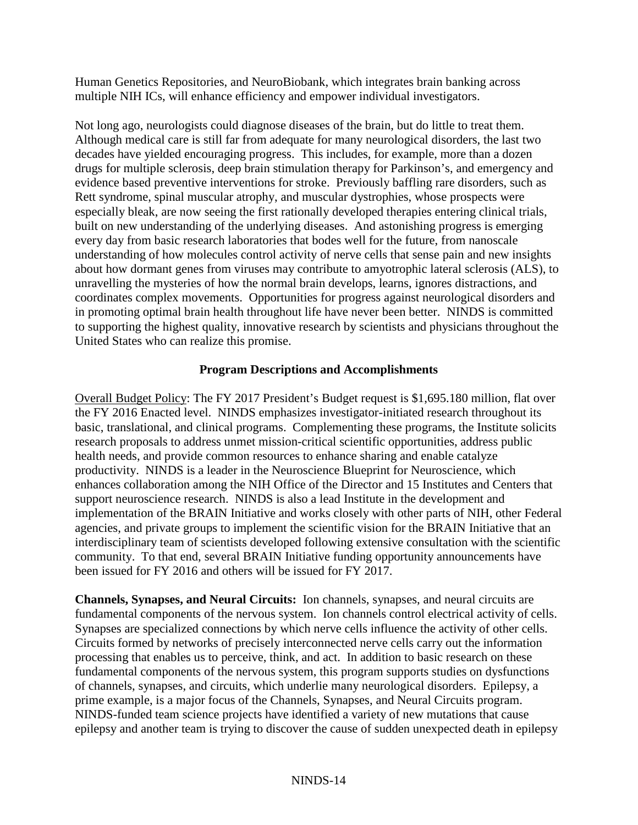Human Genetics Repositories, and NeuroBiobank, which integrates brain banking across multiple NIH ICs, will enhance efficiency and empower individual investigators.

Not long ago, neurologists could diagnose diseases of the brain, but do little to treat them. Although medical care is still far from adequate for many neurological disorders, the last two decades have yielded encouraging progress. This includes, for example, more than a dozen drugs for multiple sclerosis, deep brain stimulation therapy for Parkinson's, and emergency and evidence based preventive interventions for stroke. Previously baffling rare disorders, such as Rett syndrome, spinal muscular atrophy, and muscular dystrophies, whose prospects were especially bleak, are now seeing the first rationally developed therapies entering clinical trials, built on new understanding of the underlying diseases. And astonishing progress is emerging every day from basic research laboratories that bodes well for the future, from nanoscale understanding of how molecules control activity of nerve cells that sense pain and new insights about how dormant genes from viruses may contribute to amyotrophic lateral sclerosis (ALS), to unravelling the mysteries of how the normal brain develops, learns, ignores distractions, and coordinates complex movements. Opportunities for progress against neurological disorders and in promoting optimal brain health throughout life have never been better. NINDS is committed to supporting the highest quality, innovative research by scientists and physicians throughout the United States who can realize this promise.

### **Program Descriptions and Accomplishments**

Overall Budget Policy: The FY 2017 President's Budget request is \$1,695.180 million, flat over the FY 2016 Enacted level. NINDS emphasizes investigator-initiated research throughout its basic, translational, and clinical programs. Complementing these programs, the Institute solicits research proposals to address unmet mission-critical scientific opportunities, address public health needs, and provide common resources to enhance sharing and enable catalyze productivity. NINDS is a leader in the Neuroscience Blueprint for Neuroscience, which enhances collaboration among the NIH Office of the Director and 15 Institutes and Centers that support neuroscience research. NINDS is also a lead Institute in the development and implementation of the BRAIN Initiative and works closely with other parts of NIH, other Federal agencies, and private groups to implement the scientific vision for the BRAIN Initiative that an interdisciplinary team of scientists developed following extensive consultation with the scientific community. To that end, several BRAIN Initiative funding opportunity announcements have been issued for FY 2016 and others will be issued for FY 2017.

**Channels, Synapses, and Neural Circuits:** Ion channels, synapses, and neural circuits are fundamental components of the nervous system. Ion channels control electrical activity of cells. Synapses are specialized connections by which nerve cells influence the activity of other cells. Circuits formed by networks of precisely interconnected nerve cells carry out the information processing that enables us to perceive, think, and act. In addition to basic research on these fundamental components of the nervous system, this program supports studies on dysfunctions of channels, synapses, and circuits, which underlie many neurological disorders. Epilepsy, a prime example, is a major focus of the Channels, Synapses, and Neural Circuits program. NINDS-funded team science projects have identified a variety of new mutations that cause epilepsy and another team is trying to discover the cause of sudden unexpected death in epilepsy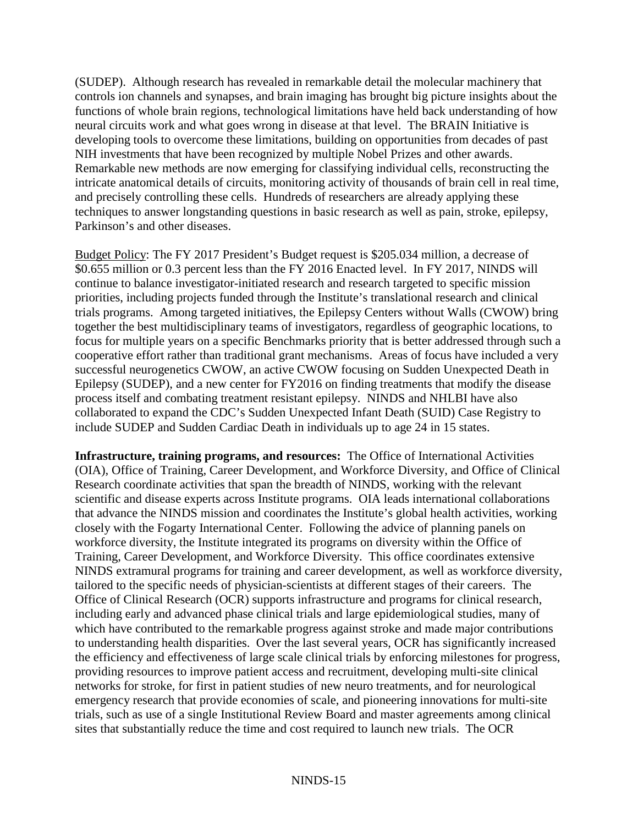(SUDEP). Although research has revealed in remarkable detail the molecular machinery that controls ion channels and synapses, and brain imaging has brought big picture insights about the functions of whole brain regions, technological limitations have held back understanding of how neural circuits work and what goes wrong in disease at that level. The BRAIN Initiative is developing tools to overcome these limitations, building on opportunities from decades of past NIH investments that have been recognized by multiple Nobel Prizes and other awards. Remarkable new methods are now emerging for classifying individual cells, reconstructing the intricate anatomical details of circuits, monitoring activity of thousands of brain cell in real time, and precisely controlling these cells. Hundreds of researchers are already applying these techniques to answer longstanding questions in basic research as well as pain, stroke, epilepsy, Parkinson's and other diseases.

Budget Policy: The FY 2017 President's Budget request is \$205.034 million, a decrease of \$0.655 million or 0.3 percent less than the FY 2016 Enacted level. In FY 2017, NINDS will continue to balance investigator-initiated research and research targeted to specific mission priorities, including projects funded through the Institute's translational research and clinical trials programs. Among targeted initiatives, the Epilepsy Centers without Walls (CWOW) bring together the best multidisciplinary teams of investigators, regardless of geographic locations, to focus for multiple years on a specific Benchmarks priority that is better addressed through such a cooperative effort rather than traditional grant mechanisms. Areas of focus have included a very successful neurogenetics CWOW, an active CWOW focusing on Sudden Unexpected Death in Epilepsy (SUDEP), and a new center for FY2016 on finding treatments that modify the disease process itself and combating treatment resistant epilepsy. NINDS and NHLBI have also collaborated to expand the CDC's Sudden Unexpected Infant Death (SUID) Case Registry to include SUDEP and Sudden Cardiac Death in individuals up to age 24 in 15 states.

**Infrastructure, training programs, and resources:** The Office of International Activities (OIA), Office of Training, Career Development, and Workforce Diversity, and Office of Clinical Research coordinate activities that span the breadth of NINDS, working with the relevant scientific and disease experts across Institute programs. OIA leads international collaborations that advance the NINDS mission and coordinates the Institute's global health activities, working closely with the Fogarty International Center. Following the advice of planning panels on workforce diversity, the Institute integrated its programs on diversity within the Office of Training, Career Development, and Workforce Diversity. This office coordinates extensive NINDS extramural programs for training and career development, as well as workforce diversity, tailored to the specific needs of physician-scientists at different stages of their careers. The Office of Clinical Research (OCR) supports infrastructure and programs for clinical research, including early and advanced phase clinical trials and large epidemiological studies, many of which have contributed to the remarkable progress against stroke and made major contributions to understanding health disparities. Over the last several years, OCR has significantly increased the efficiency and effectiveness of large scale clinical trials by enforcing milestones for progress, providing resources to improve patient access and recruitment, developing multi-site clinical networks for stroke, for first in patient studies of new neuro treatments, and for neurological emergency research that provide economies of scale, and pioneering innovations for multi-site trials, such as use of a single Institutional Review Board and master agreements among clinical sites that substantially reduce the time and cost required to launch new trials. The OCR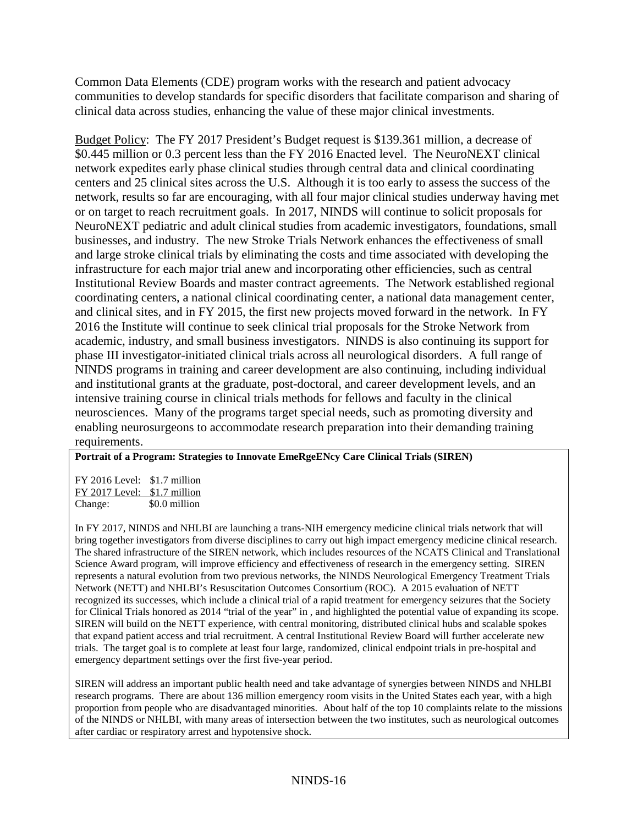Common Data Elements (CDE) program works with the research and patient advocacy communities to develop standards for specific disorders that facilitate comparison and sharing of clinical data across studies, enhancing the value of these major clinical investments.

Budget Policy: The FY 2017 President's Budget request is \$139.361 million, a decrease of \$0.445 million or 0.3 percent less than the FY 2016 Enacted level. The NeuroNEXT clinical network expedites early phase clinical studies through central data and clinical coordinating centers and 25 clinical sites across the U.S. Although it is too early to assess the success of the network, results so far are encouraging, with all four major clinical studies underway having met or on target to reach recruitment goals. In 2017, NINDS will continue to solicit proposals for NeuroNEXT pediatric and adult clinical studies from academic investigators, foundations, small businesses, and industry. The new Stroke Trials Network enhances the effectiveness of small and large stroke clinical trials by eliminating the costs and time associated with developing the infrastructure for each major trial anew and incorporating other efficiencies, such as central Institutional Review Boards and master contract agreements. The Network established regional coordinating centers, a national clinical coordinating center, a national data management center, and clinical sites, and in FY 2015, the first new projects moved forward in the network. In FY 2016 the Institute will continue to seek clinical trial proposals for the Stroke Network from academic, industry, and small business investigators. NINDS is also continuing its support for phase III investigator-initiated clinical trials across all neurological disorders. A full range of NINDS programs in training and career development are also continuing, including individual and institutional grants at the graduate, post-doctoral, and career development levels, and an intensive training course in clinical trials methods for fellows and faculty in the clinical neurosciences. Many of the programs target special needs, such as promoting diversity and enabling neurosurgeons to accommodate research preparation into their demanding training requirements.

### **Portrait of a Program: Strategies to Innovate EmeRgeENcy Care Clinical Trials (SIREN)**

FY 2016 Level: \$1.7 million FY 2017 Level: \$1.7 million Change: \$0.0 million

In FY 2017, NINDS and NHLBI are launching a trans-NIH emergency medicine clinical trials network that will bring together investigators from diverse disciplines to carry out high impact emergency medicine clinical research. The shared infrastructure of the SIREN network, which includes resources of the NCATS Clinical and Translational Science Award program, will improve efficiency and effectiveness of research in the emergency setting. SIREN represents a natural evolution from two previous networks, the NINDS Neurological Emergency Treatment Trials Network (NETT) and NHLBI's Resuscitation Outcomes Consortium (ROC). A 2015 evaluation of NETT recognized its successes, which include a clinical trial of a rapid treatment for emergency seizures that the Society for Clinical Trials honored as 2014 "trial of the year" in , and highlighted the potential value of expanding its scope. SIREN will build on the NETT experience, with central monitoring, distributed clinical hubs and scalable spokes that expand patient access and trial recruitment. A central Institutional Review Board will further accelerate new trials. The target goal is to complete at least four large, randomized, clinical endpoint trials in pre-hospital and emergency department settings over the first five-year period.

SIREN will address an important public health need and take advantage of synergies between NINDS and NHLBI research programs. There are about 136 million emergency room visits in the United States each year, with a high proportion from people who are disadvantaged minorities. About half of the top 10 complaints relate to the missions of the NINDS or NHLBI, with many areas of intersection between the two institutes, such as neurological outcomes after cardiac or respiratory arrest and hypotensive shock.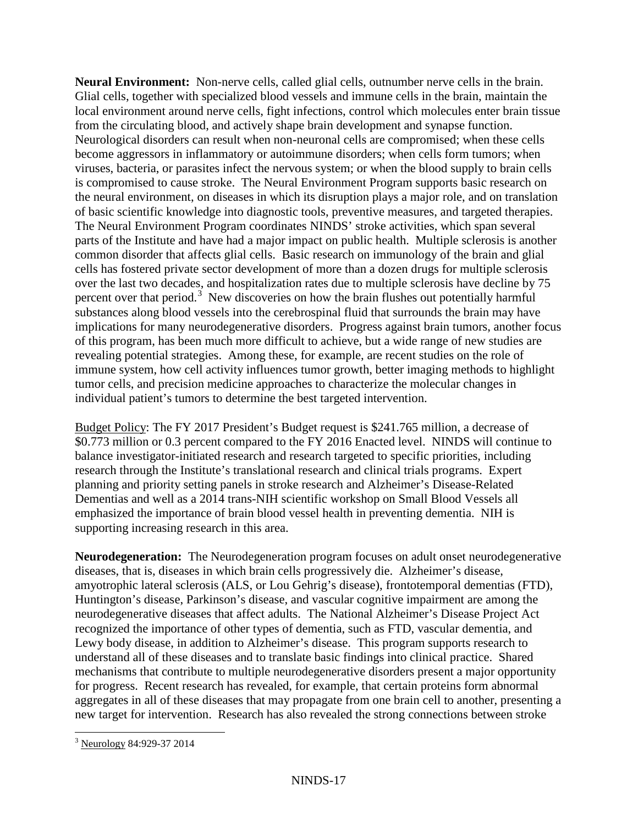**Neural Environment:** Non-nerve cells, called glial cells, outnumber nerve cells in the brain. Glial cells, together with specialized blood vessels and immune cells in the brain, maintain the local environment around nerve cells, fight infections, control which molecules enter brain tissue from the circulating blood, and actively shape brain development and synapse function. Neurological disorders can result when non-neuronal cells are compromised; when these cells become aggressors in inflammatory or autoimmune disorders; when cells form tumors; when viruses, bacteria, or parasites infect the nervous system; or when the blood supply to brain cells is compromised to cause stroke. The Neural Environment Program supports basic research on the neural environment, on diseases in which its disruption plays a major role, and on translation of basic scientific knowledge into diagnostic tools, preventive measures, and targeted therapies. The Neural Environment Program coordinates NINDS' stroke activities, which span several parts of the Institute and have had a major impact on public health. Multiple sclerosis is another common disorder that affects glial cells. Basic research on immunology of the brain and glial cells has fostered private sector development of more than a dozen drugs for multiple sclerosis over the last two decades, and hospitalization rates due to multiple sclerosis have decline by 75 percent over that period.<sup>[3](#page-16-0)</sup> New discoveries on how the brain flushes out potentially harmful substances along blood vessels into the cerebrospinal fluid that surrounds the brain may have implications for many neurodegenerative disorders. Progress against brain tumors, another focus of this program, has been much more difficult to achieve, but a wide range of new studies are revealing potential strategies. Among these, for example, are recent studies on the role of immune system, how cell activity influences tumor growth, better imaging methods to highlight tumor cells, and precision medicine approaches to characterize the molecular changes in individual patient's tumors to determine the best targeted intervention.

Budget Policy: The FY 2017 President's Budget request is \$241.765 million, a decrease of \$0.773 million or 0.3 percent compared to the FY 2016 Enacted level. NINDS will continue to balance investigator-initiated research and research targeted to specific priorities, including research through the Institute's translational research and clinical trials programs. Expert planning and priority setting panels in stroke research and Alzheimer's Disease-Related Dementias and well as a 2014 trans-NIH scientific workshop on Small Blood Vessels all emphasized the importance of brain blood vessel health in preventing dementia. NIH is supporting increasing research in this area.

**Neurodegeneration:** The Neurodegeneration program focuses on adult onset neurodegenerative diseases, that is, diseases in which brain cells progressively die. Alzheimer's disease, amyotrophic lateral sclerosis (ALS, or Lou Gehrig's disease), frontotemporal dementias (FTD), Huntington's disease, Parkinson's disease, and vascular cognitive impairment are among the neurodegenerative diseases that affect adults. The National Alzheimer's Disease Project Act recognized the importance of other types of dementia, such as FTD, vascular dementia, and Lewy body disease, in addition to Alzheimer's disease. This program supports research to understand all of these diseases and to translate basic findings into clinical practice. Shared mechanisms that contribute to multiple neurodegenerative disorders present a major opportunity for progress. Recent research has revealed, for example, that certain proteins form abnormal aggregates in all of these diseases that may propagate from one brain cell to another, presenting a new target for intervention. Research has also revealed the strong connections between stroke

<span id="page-16-0"></span><sup>3</sup> Neurology 84:929-37 2014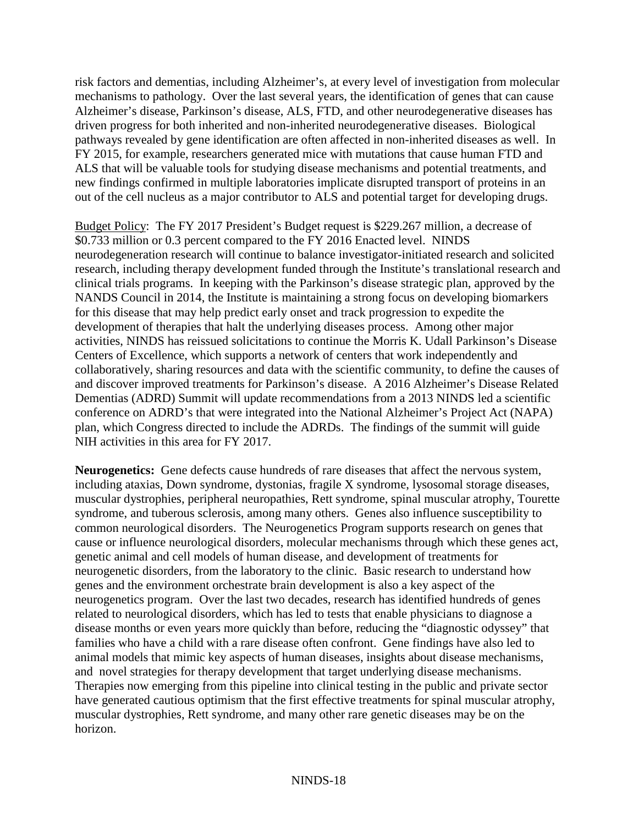risk factors and dementias, including Alzheimer's, at every level of investigation from molecular mechanisms to pathology. Over the last several years, the identification of genes that can cause Alzheimer's disease, Parkinson's disease, ALS, FTD, and other neurodegenerative diseases has driven progress for both inherited and non-inherited neurodegenerative diseases. Biological pathways revealed by gene identification are often affected in non-inherited diseases as well. In FY 2015, for example, researchers generated mice with mutations that cause human FTD and ALS that will be valuable tools for studying disease mechanisms and potential treatments, and new findings confirmed in multiple laboratories implicate disrupted transport of proteins in an out of the cell nucleus as a major contributor to ALS and potential target for developing drugs.

Budget Policy: The FY 2017 President's Budget request is \$229.267 million, a decrease of \$0.733 million or 0.3 percent compared to the FY 2016 Enacted level. NINDS neurodegeneration research will continue to balance investigator-initiated research and solicited research, including therapy development funded through the Institute's translational research and clinical trials programs. In keeping with the Parkinson's disease strategic plan, approved by the NANDS Council in 2014, the Institute is maintaining a strong focus on developing biomarkers for this disease that may help predict early onset and track progression to expedite the development of therapies that halt the underlying diseases process. Among other major activities, NINDS has reissued solicitations to continue the Morris K. Udall Parkinson's Disease Centers of Excellence, which supports a network of centers that work independently and collaboratively, sharing resources and data with the scientific community, to define the causes of and discover improved treatments for Parkinson's disease. A 2016 Alzheimer's Disease Related Dementias (ADRD) Summit will update recommendations from a 2013 NINDS led a scientific conference on ADRD's that were integrated into the National Alzheimer's Project Act (NAPA) plan, which Congress directed to include the ADRDs. The findings of the summit will guide NIH activities in this area for FY 2017.

**Neurogenetics:** Gene defects cause hundreds of rare diseases that affect the nervous system, including ataxias, Down syndrome, dystonias, fragile X syndrome, lysosomal storage diseases, muscular dystrophies, peripheral neuropathies, Rett syndrome, spinal muscular atrophy, Tourette syndrome, and tuberous sclerosis, among many others. Genes also influence susceptibility to common neurological disorders. The Neurogenetics Program supports research on genes that cause or influence neurological disorders, molecular mechanisms through which these genes act, genetic animal and cell models of human disease, and development of treatments for neurogenetic disorders, from the laboratory to the clinic. Basic research to understand how genes and the environment orchestrate brain development is also a key aspect of the neurogenetics program. Over the last two decades, research has identified hundreds of genes related to neurological disorders, which has led to tests that enable physicians to diagnose a disease months or even years more quickly than before, reducing the "diagnostic odyssey" that families who have a child with a rare disease often confront. Gene findings have also led to animal models that mimic key aspects of human diseases, insights about disease mechanisms, and novel strategies for therapy development that target underlying disease mechanisms. Therapies now emerging from this pipeline into clinical testing in the public and private sector have generated cautious optimism that the first effective treatments for spinal muscular atrophy, muscular dystrophies, Rett syndrome, and many other rare genetic diseases may be on the horizon.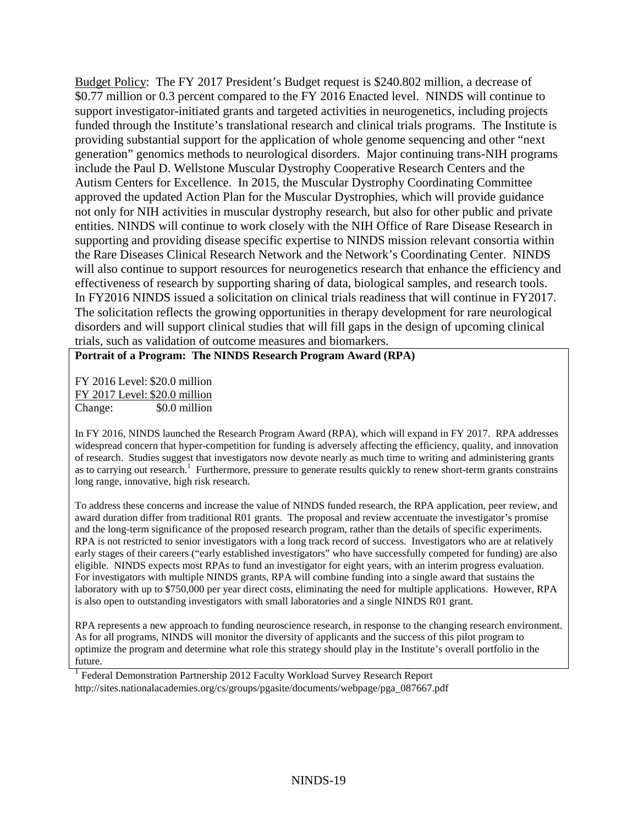Budget Policy: The FY 2017 President's Budget request is \$240.802 million, a decrease of \$0.77 million or 0.3 percent compared to the FY 2016 Enacted level. NINDS will continue to support investigator-initiated grants and targeted activities in neurogenetics, including projects funded through the Institute's translational research and clinical trials programs. The Institute is providing substantial support for the application of whole genome sequencing and other "next generation" genomics methods to neurological disorders. Major continuing trans-NIH programs include the Paul D. Wellstone Muscular Dystrophy Cooperative Research Centers and the Autism Centers for Excellence. In 2015, the Muscular Dystrophy Coordinating Committee approved the updated Action Plan for the Muscular Dystrophies, which will provide guidance not only for NIH activities in muscular dystrophy research, but also for other public and private entities. NINDS will continue to work closely with the NIH Office of Rare Disease Research in supporting and providing disease specific expertise to NINDS mission relevant consortia within the Rare Diseases Clinical Research Network and the Network's Coordinating Center. NINDS will also continue to support resources for neurogenetics research that enhance the efficiency and effectiveness of research by supporting sharing of data, biological samples, and research tools. In FY2016 NINDS issued a solicitation on clinical trials readiness that will continue in FY2017. The solicitation reflects the growing opportunities in therapy development for rare neurological disorders and will support clinical studies that will fill gaps in the design of upcoming clinical trials, such as validation of outcome measures and biomarkers.

### **Portrait of a Program: The NINDS Research Program Award (RPA)**

FY 2016 Level: \$20.0 million FY 2017 Level: \$20.0 million Change:\$0.0 million

In FY 2016, NINDS launched the Research Program Award (RPA), which will expand in FY 2017. RPA addresses widespread concern that hyper-competition for funding is adversely affecting the efficiency, quality, and innovation of research. Studies suggest that investigators now devote nearly as much time to writing and administering grants as to carrying out research.<sup>1</sup> Furthermore, pressure to generate results quickly to renew short-term grants constrains long range, innovative, high risk research.

To address these concerns and increase the value of NINDS funded research, the RPA application, peer review, and award duration differ from traditional R01 grants. The proposal and review accentuate the investigator's promise and the long-term significance of the proposed research program, rather than the details of specific experiments. RPA is not restricted to senior investigators with a long track record of success. Investigators who are at relatively early stages of their careers ("early established investigators" who have successfully competed for funding) are also eligible. NINDS expects most RPAs to fund an investigator for eight years, with an interim progress evaluation. For investigators with multiple NINDS grants, RPA will combine funding into a single award that sustains the laboratory with up to \$750,000 per year direct costs, eliminating the need for multiple applications. However, RPA is also open to outstanding investigators with small laboratories and a single NINDS R01 grant.

RPA represents a new approach to funding neuroscience research, in response to the changing research environment. As for all programs, NINDS will monitor the diversity of applicants and the success of this pilot program to optimize the program and determine what role this strategy should play in the Institute's overall portfolio in the future.

<sup>1</sup> Federal Demonstration Partnership 2012 Faculty Workload Survey Research Report [http://sites.nationalacademies.org/cs/groups/pgasite/documents/webpage/pga\\_087667.pdf](http://sites.nationalacademies.org/cs/groups/pgasite/documents/webpage/pga_087667.pdf)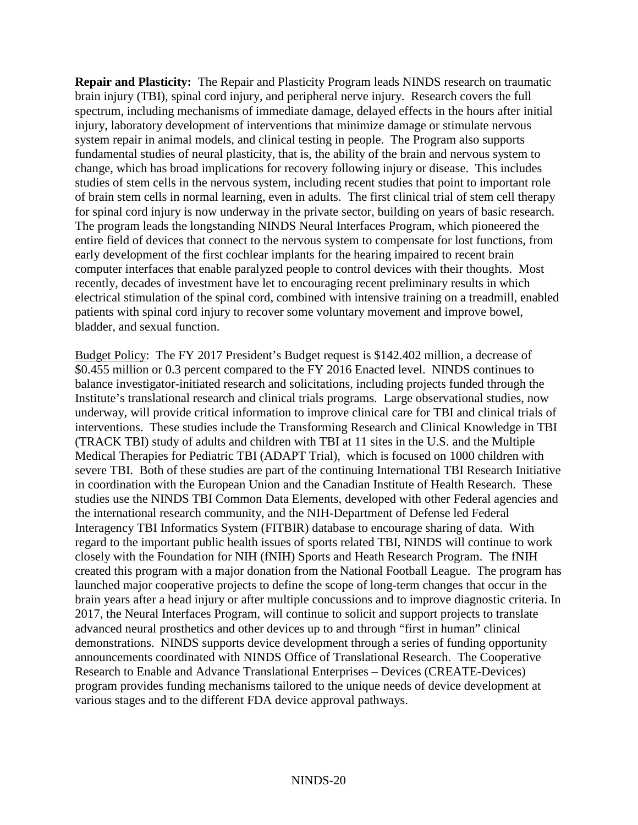**Repair and Plasticity:** The Repair and Plasticity Program leads NINDS research on traumatic brain injury (TBI), spinal cord injury, and peripheral nerve injury. Research covers the full spectrum, including mechanisms of immediate damage, delayed effects in the hours after initial injury, laboratory development of interventions that minimize damage or stimulate nervous system repair in animal models, and clinical testing in people. The Program also supports fundamental studies of neural plasticity, that is, the ability of the brain and nervous system to change, which has broad implications for recovery following injury or disease. This includes studies of stem cells in the nervous system, including recent studies that point to important role of brain stem cells in normal learning, even in adults. The first clinical trial of stem cell therapy for spinal cord injury is now underway in the private sector, building on years of basic research. The program leads the longstanding NINDS Neural Interfaces Program, which pioneered the entire field of devices that connect to the nervous system to compensate for lost functions, from early development of the first cochlear implants for the hearing impaired to recent brain computer interfaces that enable paralyzed people to control devices with their thoughts. Most recently, decades of investment have let to encouraging recent preliminary results in which electrical stimulation of the spinal cord, combined with intensive training on a treadmill, enabled patients with spinal cord injury to recover some voluntary movement and improve bowel, bladder, and sexual function.

Budget Policy: The FY 2017 President's Budget request is \$142.402 million, a decrease of \$0.455 million or 0.3 percent compared to the FY 2016 Enacted level. NINDS continues to balance investigator-initiated research and solicitations, including projects funded through the Institute's translational research and clinical trials programs. Large observational studies, now underway, will provide critical information to improve clinical care for TBI and clinical trials of interventions. These studies include the Transforming Research and Clinical Knowledge in TBI (TRACK TBI) study of adults and children with TBI at 11 sites in the U.S. and the Multiple Medical Therapies for Pediatric TBI (ADAPT Trial), which is focused on 1000 children with severe TBI. Both of these studies are part of the continuing International TBI Research Initiative in coordination with the European Union and the Canadian Institute of Health Research. These studies use the NINDS TBI Common Data Elements, developed with other Federal agencies and the international research community, and the NIH-Department of Defense led Federal Interagency TBI Informatics System (FITBIR) database to encourage sharing of data. With regard to the important public health issues of sports related TBI, NINDS will continue to work closely with the Foundation for NIH (fNIH) Sports and Heath Research Program. The fNIH created this program with a major donation from the National Football League. The program has launched major cooperative projects to define the scope of long-term changes that occur in the brain years after a head injury or after multiple concussions and to improve diagnostic criteria. In 2017, the Neural Interfaces Program, will continue to solicit and support projects to translate advanced neural prosthetics and other devices up to and through "first in human" clinical demonstrations. NINDS supports device development through a series of funding opportunity announcements coordinated with NINDS Office of Translational Research. The Cooperative Research to Enable and Advance Translational Enterprises – Devices (CREATE-Devices) program provides funding mechanisms tailored to the unique needs of device development at various stages and to the different FDA device approval pathways.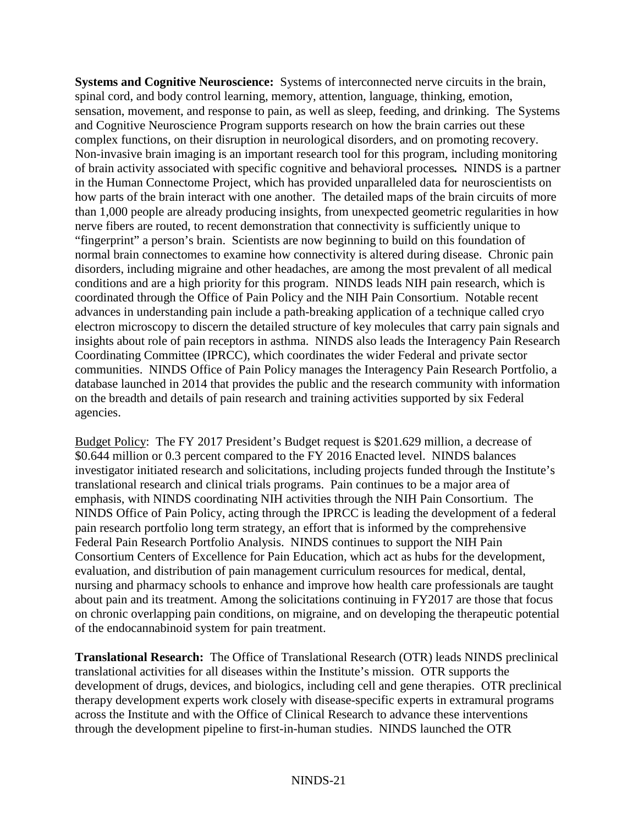**Systems and Cognitive Neuroscience:** Systems of interconnected nerve circuits in the brain, spinal cord, and body control learning, memory, attention, language, thinking, emotion, sensation, movement, and response to pain, as well as sleep, feeding, and drinking. The Systems and Cognitive Neuroscience Program supports research on how the brain carries out these complex functions, on their disruption in neurological disorders, and on promoting recovery. Non-invasive brain imaging is an important research tool for this program, including monitoring of brain activity associated with specific cognitive and behavioral processes*.* NINDS is a partner in the Human Connectome Project, which has provided unparalleled data for neuroscientists on how parts of the brain interact with one another. The detailed maps of the brain circuits of more than 1,000 people are already producing insights, from unexpected geometric regularities in how nerve fibers are routed, to recent demonstration that connectivity is sufficiently unique to "fingerprint" a person's brain. Scientists are now beginning to build on this foundation of normal brain connectomes to examine how connectivity is altered during disease. Chronic pain disorders, including migraine and other headaches, are among the most prevalent of all medical conditions and are a high priority for this program. NINDS leads NIH pain research, which is coordinated through the Office of Pain Policy and the NIH Pain Consortium. Notable recent advances in understanding pain include a path-breaking application of a technique called cryo electron microscopy to discern the detailed structure of key molecules that carry pain signals and insights about role of pain receptors in asthma. NINDS also leads the Interagency Pain Research Coordinating Committee (IPRCC), which coordinates the wider Federal and private sector communities. NINDS Office of Pain Policy manages the Interagency Pain Research Portfolio, a database launched in 2014 that provides the public and the research community with information on the breadth and details of pain research and training activities supported by six Federal agencies.

Budget Policy: The FY 2017 President's Budget request is \$201.629 million, a decrease of \$0.644 million or 0.3 percent compared to the FY 2016 Enacted level. NINDS balances investigator initiated research and solicitations, including projects funded through the Institute's translational research and clinical trials programs. Pain continues to be a major area of emphasis, with NINDS coordinating NIH activities through the NIH Pain Consortium. The NINDS Office of Pain Policy, acting through the IPRCC is leading the development of a federal pain research portfolio long term strategy, an effort that is informed by the comprehensive Federal Pain Research Portfolio Analysis. NINDS continues to support the NIH Pain Consortium Centers of Excellence for Pain Education, which act as hubs for the development, evaluation, and distribution of pain management curriculum resources for medical, dental, nursing and pharmacy schools to enhance and improve how health care professionals are taught about pain and its treatment. Among the solicitations continuing in FY2017 are those that focus on chronic overlapping pain conditions, on migraine, and on developing the therapeutic potential of the endocannabinoid system for pain treatment.

**Translational Research:** The Office of Translational Research (OTR) leads NINDS preclinical translational activities for all diseases within the Institute's mission. OTR supports the development of drugs, devices, and biologics, including cell and gene therapies. OTR preclinical therapy development experts work closely with disease-specific experts in extramural programs across the Institute and with the Office of Clinical Research to advance these interventions through the development pipeline to first-in-human studies. NINDS launched the OTR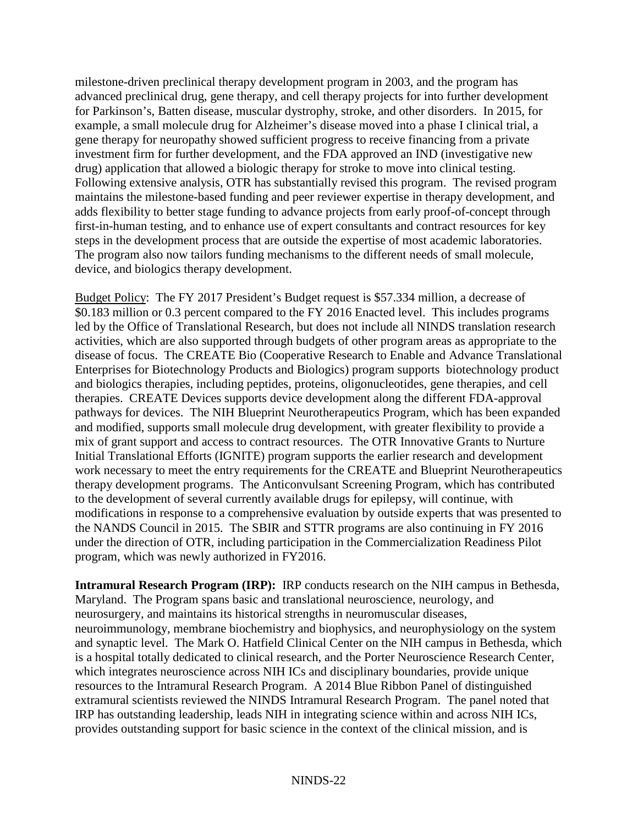milestone-driven preclinical therapy development program in 2003, and the program has advanced preclinical drug, gene therapy, and cell therapy projects for into further development for Parkinson's, Batten disease, muscular dystrophy, stroke, and other disorders. In 2015, for example, a small molecule drug for Alzheimer's disease moved into a phase I clinical trial, a gene therapy for neuropathy showed sufficient progress to receive financing from a private investment firm for further development, and the FDA approved an IND (investigative new drug) application that allowed a biologic therapy for stroke to move into clinical testing. Following extensive analysis, OTR has substantially revised this program. The revised program maintains the milestone-based funding and peer reviewer expertise in therapy development, and adds flexibility to better stage funding to advance projects from early proof-of-concept through first-in-human testing, and to enhance use of expert consultants and contract resources for key steps in the development process that are outside the expertise of most academic laboratories. The program also now tailors funding mechanisms to the different needs of small molecule, device, and biologics therapy development.

Budget Policy: The FY 2017 President's Budget request is \$57.334 million, a decrease of \$0.183 million or 0.3 percent compared to the FY 2016 Enacted level. This includes programs led by the Office of Translational Research, but does not include all NINDS translation research activities, which are also supported through budgets of other program areas as appropriate to the disease of focus. The CREATE Bio (Cooperative Research to Enable and Advance Translational Enterprises for Biotechnology Products and Biologics) program supports biotechnology product and biologics therapies, including peptides, proteins, oligonucleotides, gene therapies, and cell therapies. CREATE Devices supports device development along the different FDA-approval pathways for devices. The NIH Blueprint Neurotherapeutics Program, which has been expanded and modified, supports small molecule drug development, with greater flexibility to provide a mix of grant support and access to contract resources. The OTR Innovative Grants to Nurture Initial Translational Efforts (IGNITE) program supports the earlier research and development work necessary to meet the entry requirements for the CREATE and Blueprint Neurotherapeutics therapy development programs. The Anticonvulsant Screening Program, which has contributed to the development of several currently available drugs for epilepsy, will continue, with modifications in response to a comprehensive evaluation by outside experts that was presented to the NANDS Council in 2015. The SBIR and STTR programs are also continuing in FY 2016 under the direction of OTR, including participation in the Commercialization Readiness Pilot program, which was newly authorized in FY2016.

**Intramural Research Program (IRP):** IRP conducts research on the NIH campus in Bethesda, Maryland. The Program spans basic and translational neuroscience, neurology, and neurosurgery, and maintains its historical strengths in neuromuscular diseases, neuroimmunology, membrane biochemistry and biophysics, and neurophysiology on the system and synaptic level. The Mark O. Hatfield Clinical Center on the NIH campus in Bethesda, which is a hospital totally dedicated to clinical research, and the Porter Neuroscience Research Center, which integrates neuroscience across NIH ICs and disciplinary boundaries, provide unique resources to the Intramural Research Program. A 2014 Blue Ribbon Panel of distinguished extramural scientists reviewed the NINDS Intramural Research Program. The panel noted that IRP has outstanding leadership, leads NIH in integrating science within and across NIH ICs, provides outstanding support for basic science in the context of the clinical mission, and is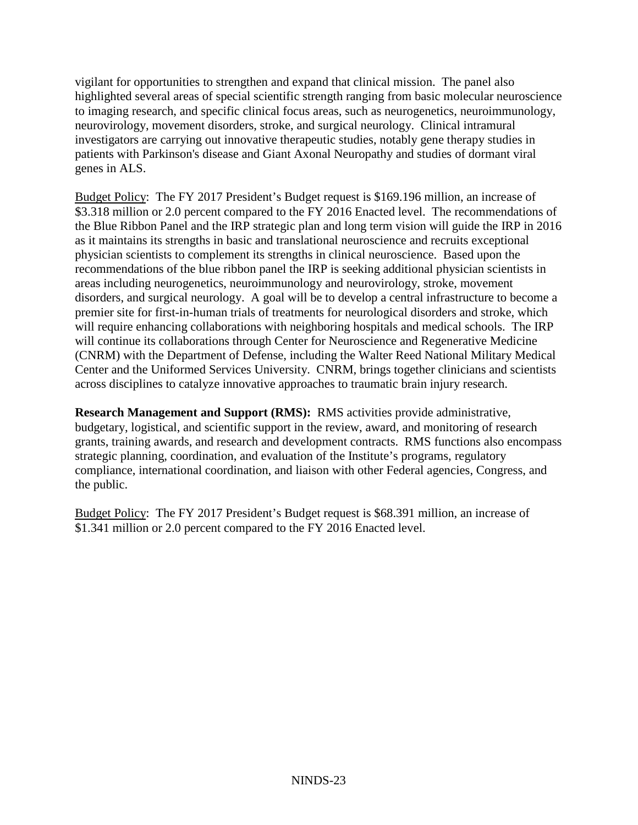vigilant for opportunities to strengthen and expand that clinical mission. The panel also highlighted several areas of special scientific strength ranging from basic molecular neuroscience to imaging research, and specific clinical focus areas, such as neurogenetics, neuroimmunology, neurovirology, movement disorders, stroke, and surgical neurology. Clinical intramural investigators are carrying out innovative therapeutic studies, notably gene therapy studies in patients with Parkinson's disease and Giant Axonal Neuropathy and studies of dormant viral genes in ALS.

Budget Policy: The FY 2017 President's Budget request is \$169.196 million, an increase of \$3.318 million or 2.0 percent compared to the FY 2016 Enacted level. The recommendations of the Blue Ribbon Panel and the IRP strategic plan and long term vision will guide the IRP in 2016 as it maintains its strengths in basic and translational neuroscience and recruits exceptional physician scientists to complement its strengths in clinical neuroscience. Based upon the recommendations of the blue ribbon panel the IRP is seeking additional physician scientists in areas including neurogenetics, neuroimmunology and neurovirology, stroke, movement disorders, and surgical neurology. A goal will be to develop a central infrastructure to become a premier site for first-in-human trials of treatments for neurological disorders and stroke, which will require enhancing collaborations with neighboring hospitals and medical schools. The IRP will continue its collaborations through Center for Neuroscience and Regenerative Medicine (CNRM) with the Department of Defense, including the Walter Reed National Military Medical Center and the Uniformed Services University. CNRM, brings together clinicians and scientists across disciplines to catalyze innovative approaches to traumatic brain injury research.

**Research Management and Support (RMS):** RMS activities provide administrative, budgetary, logistical, and scientific support in the review, award, and monitoring of research grants, training awards, and research and development contracts. RMS functions also encompass strategic planning, coordination, and evaluation of the Institute's programs, regulatory compliance, international coordination, and liaison with other Federal agencies, Congress, and the public.

Budget Policy: The FY 2017 President's Budget request is \$68.391 million, an increase of \$1.341 million or 2.0 percent compared to the FY 2016 Enacted level.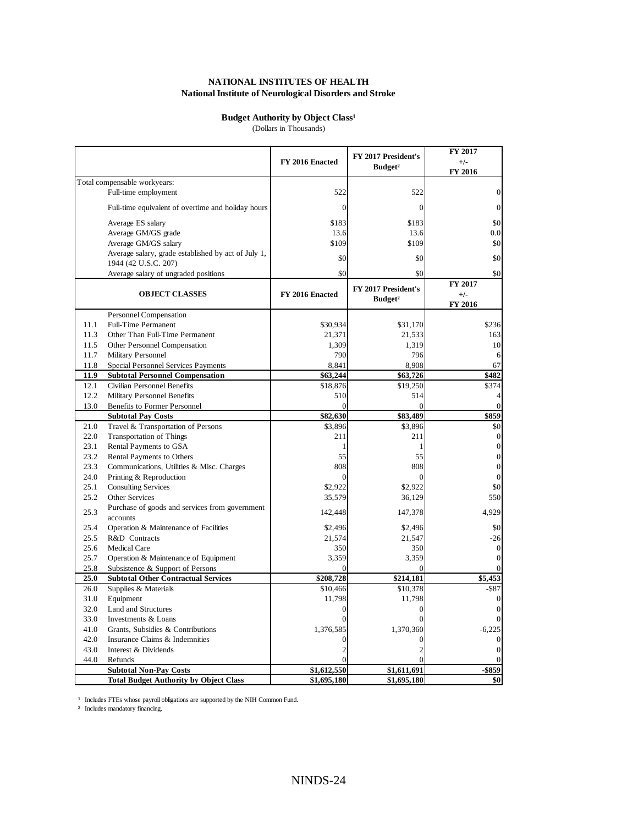### **Budget Authority by Object Class<sup>1</sup>**

(Dollars in Thousands)

|              |                                                                    | FY 2016 Enacted | FY 2017 President's<br>Budget <sup>2</sup> | FY 2017<br>$+/-$<br>FY 2016 |
|--------------|--------------------------------------------------------------------|-----------------|--------------------------------------------|-----------------------------|
|              | Total compensable workyears:                                       |                 |                                            |                             |
|              | Full-time employment                                               | 522             | 522                                        | $\overline{0}$              |
|              | Full-time equivalent of overtime and holiday hours                 | $\mathbf{0}$    | $\mathbf{0}$                               | $\theta$                    |
|              | Average ES salary                                                  | \$183           | \$183                                      | \$0                         |
|              | Average GM/GS grade                                                | 13.6            | 13.6                                       | 0.0                         |
|              | Average GM/GS salary                                               | \$109           | \$109                                      | \$0                         |
|              | Average salary, grade established by act of July 1,                | \$0             | \$0                                        | \$0                         |
|              | 1944 (42 U.S.C. 207)                                               |                 |                                            |                             |
|              | Average salary of ungraded positions                               | \$0             | \$0                                        | \$0                         |
|              |                                                                    |                 | FY 2017 President's                        | FY 2017                     |
|              | <b>OBJECT CLASSES</b>                                              | FY 2016 Enacted | Budget <sup>2</sup>                        | $+/-$<br>FY 2016            |
|              | Personnel Compensation                                             |                 |                                            |                             |
| 11.1         | <b>Full-Time Permanent</b>                                         | \$30,934        | \$31,170                                   | \$236                       |
| 11.3         | Other Than Full-Time Permanent                                     | 21,371          | 21,533                                     | 163                         |
| 11.5         | Other Personnel Compensation                                       | 1,309           | 1,319                                      | 10                          |
| 11.7         | Military Personnel                                                 | 790             | 796                                        | 6                           |
| 11.8         | Special Personnel Services Payments                                | 8,841           | 8,908                                      | 67                          |
| 11.9         | <b>Subtotal Personnel Compensation</b>                             | \$63,244        | \$63,726                                   | \$482                       |
| 12.1<br>12.2 | Civilian Personnel Benefits                                        | \$18,876        | \$19,250                                   | \$374                       |
| 13.0         | <b>Military Personnel Benefits</b><br>Benefits to Former Personnel | 510<br>$\theta$ | 514<br>$\theta$                            |                             |
|              | <b>Subtotal Pay Costs</b>                                          | \$82,630        | \$83,489                                   | \$859                       |
| 21.0         | Travel & Transportation of Persons                                 | \$3,896         | \$3,896                                    | \$0                         |
| 22.0         | <b>Transportation of Things</b>                                    | 211             | 211                                        | $\overline{0}$              |
| 23.1         | Rental Payments to GSA                                             | 1               | 1                                          | $\mathbf{0}$                |
| 23.2         | Rental Payments to Others                                          | 55              | 55                                         | $\mathbf{0}$                |
| 23.3         | Communications, Utilities & Misc. Charges                          | 808             | 808                                        | $\overline{0}$              |
| 24.0         | Printing & Reproduction                                            | $\theta$        | $\theta$                                   |                             |
| 25.1         | <b>Consulting Services</b>                                         | \$2,922         | \$2,922                                    | \$0                         |
| 25.2         | Other Services                                                     | 35,579          | 36,129                                     | 550                         |
| 25.3         | Purchase of goods and services from government<br>accounts         | 142,448         | 147,378                                    | 4.929                       |
| 25.4         | Operation & Maintenance of Facilities                              | \$2,496         | \$2,496                                    | \$0                         |
| 25.5         | R&D Contracts                                                      | 21,574          | 21,547                                     | $-26$                       |
| 25.6         | <b>Medical Care</b>                                                | 350             | 350                                        | $\mathbf{0}$                |
| 25.7         | Operation & Maintenance of Equipment                               | 3,359           | 3,359                                      | $\mathbf{0}$                |
| 25.8         | Subsistence & Support of Persons                                   | $\Omega$        | $\theta$                                   |                             |
| 25.0         | <b>Subtotal Other Contractual Services</b>                         | \$208,728       | \$214,181                                  | \$5,453                     |
| 26.0         | Supplies & Materials                                               | \$10,466        | \$10,378                                   | \$87                        |
| 31.0         | Equipment                                                          | 11,798          | 11,798                                     |                             |
| 32.0         | Land and Structures                                                | $\mathbf{0}$    | $\overline{0}$                             |                             |
| 33.0         | Investments & Loans                                                | 0               | $\Omega$                                   |                             |
| 41.0         | Grants, Subsidies & Contributions                                  | 1,376,585       | 1,370,360                                  | $-6,225$                    |
| 42.0         | Insurance Claims & Indemnities                                     | 0               | 0                                          |                             |
| 43.0<br>44.0 | Interest & Dividends                                               | $\overline{c}$  | $\overline{2}$<br>$\Omega$                 | $\overline{0}$              |
|              | Refunds<br><b>Subtotal Non-Pay Costs</b>                           | \$1,612,550     | \$1,611,691                                | $-$ \$859                   |
|              | <b>Total Budget Authority by Object Class</b>                      | \$1,695,180     | \$1,695,180                                | \$0                         |

1 Includes FTEs whose payroll obligations are supported by the NIH Common Fund.

² Includes mandatory financing.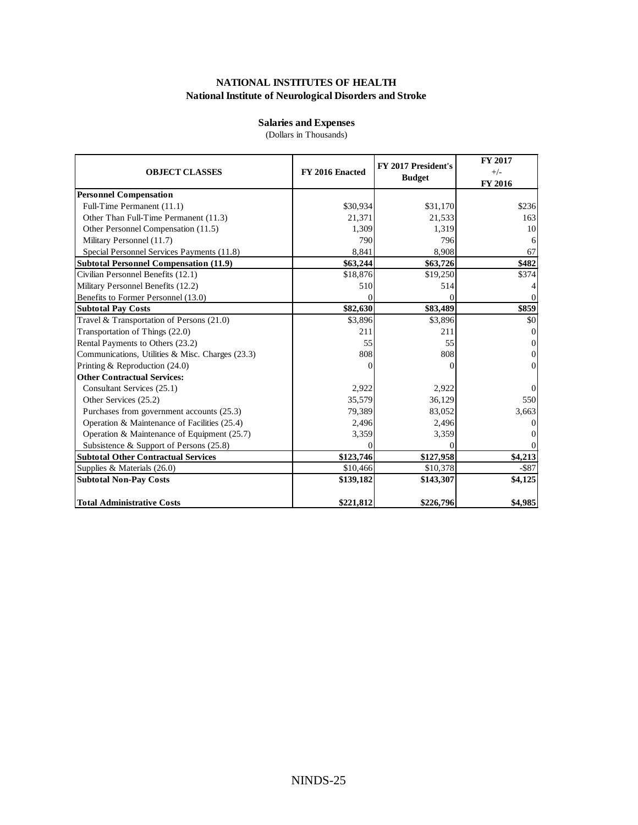### **Salaries and Expenses**

(Dollars in Thousands)

| <b>OBJECT CLASSES</b>                            | FY 2016 Enacted | FY 2017 President's<br><b>Budget</b> | FY 2017<br>$+/-$<br>FY 2016 |
|--------------------------------------------------|-----------------|--------------------------------------|-----------------------------|
| <b>Personnel Compensation</b>                    |                 |                                      |                             |
| Full-Time Permanent (11.1)                       | \$30,934        | \$31,170                             | \$236                       |
| Other Than Full-Time Permanent (11.3)            | 21,371          | 21,533                               | 163                         |
| Other Personnel Compensation (11.5)              | 1,309           | 1,319                                | 10                          |
| Military Personnel (11.7)                        | 790             | 796                                  | 6                           |
| Special Personnel Services Payments (11.8)       | 8,841           | 8,908                                | 67                          |
| <b>Subtotal Personnel Compensation (11.9)</b>    | \$63,244        | \$63,726                             | \$482                       |
| Civilian Personnel Benefits (12.1)               | \$18,876        | \$19,250                             | \$374                       |
| Military Personnel Benefits (12.2)               | 510             | 514                                  |                             |
| Benefits to Former Personnel (13.0)              | ſ               |                                      | 0                           |
| <b>Subtotal Pay Costs</b>                        | \$82,630        | \$83,489                             | \$859                       |
| Travel & Transportation of Persons (21.0)        | \$3,896         | \$3,896                              | \$0                         |
| Transportation of Things (22.0)                  | 211             | 211                                  | 0                           |
| Rental Payments to Others (23.2)                 | 55              | 55                                   | $\Omega$                    |
| Communications, Utilities & Misc. Charges (23.3) | 808             | 808                                  | $\Omega$                    |
| Printing & Reproduction (24.0)                   |                 |                                      | $\Omega$                    |
| <b>Other Contractual Services:</b>               |                 |                                      |                             |
| Consultant Services (25.1)                       | 2,922           | 2.922                                | 0                           |
| Other Services (25.2)                            | 35,579          | 36,129                               | 550                         |
| Purchases from government accounts (25.3)        | 79,389          | 83,052                               | 3,663                       |
| Operation & Maintenance of Facilities (25.4)     | 2,496           | 2,496                                | $_{0}$                      |
| Operation & Maintenance of Equipment (25.7)      | 3,359           | 3,359                                |                             |
| Subsistence & Support of Persons (25.8)          |                 |                                      |                             |
| <b>Subtotal Other Contractual Services</b>       | \$123,746       | \$127,958                            | \$4,213                     |
| Supplies & Materials $(26.0)$                    | \$10,466        | \$10,378                             | $-$ \$87                    |
| <b>Subtotal Non-Pay Costs</b>                    | \$139,182       | \$143,307                            | \$4,125                     |
| <b>Total Administrative Costs</b>                | \$221,812       | \$226,796                            | \$4,985                     |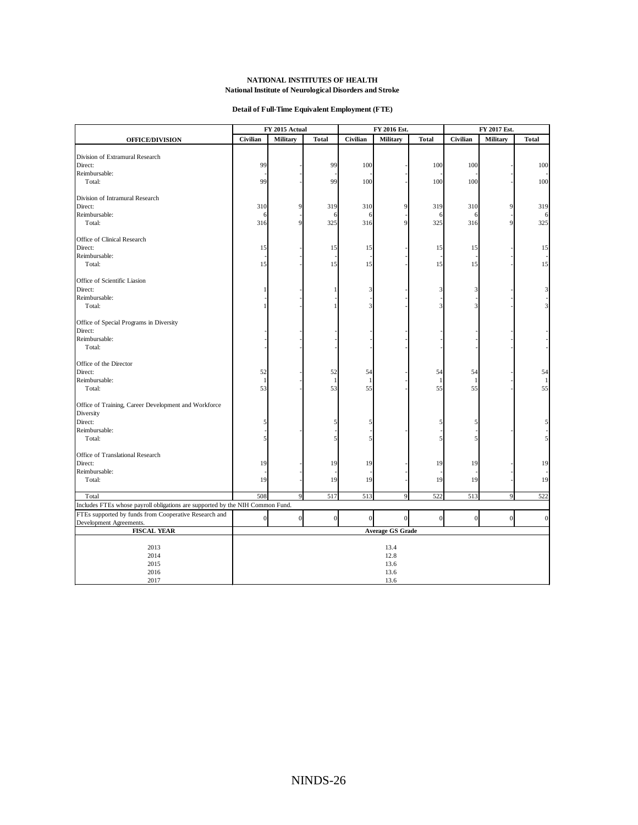#### **Detail of Full-Time Equivalent Employment (FTE)**

|                                                                               | FY 2015 Actual<br>FY 2016 Est. |                  | FY 2017 Est. |                  |                         |              |                  |                 |              |
|-------------------------------------------------------------------------------|--------------------------------|------------------|--------------|------------------|-------------------------|--------------|------------------|-----------------|--------------|
| <b>OFFICE/DIVISION</b>                                                        | Civilian                       | <b>Military</b>  | <b>Total</b> | Civilian         | <b>Military</b>         | <b>Total</b> | Civilian         | <b>Military</b> | <b>Total</b> |
|                                                                               |                                |                  |              |                  |                         |              |                  |                 |              |
| Division of Extramural Research                                               |                                |                  |              |                  |                         |              |                  |                 |              |
| Direct:                                                                       | 99                             |                  | 99           | 100              |                         | 100          | 100              |                 | 100          |
| Reimbursable:                                                                 |                                |                  |              |                  |                         |              |                  |                 |              |
| Total:                                                                        | 99                             |                  | 99           | 100              |                         | 100          | 100              |                 | 100          |
| Division of Intramural Research                                               |                                |                  |              |                  |                         |              |                  |                 |              |
| Direct:                                                                       | 310                            | 9                | 319          | 310              | 9                       | 319          | 310              | 9               | 319          |
| Reimbursable:                                                                 | 6                              |                  | 6            | 6                |                         | 6            | 6                |                 | 6            |
| Total:                                                                        | 316                            | Q                | 325          | 316              | 9                       | 325          | 316              | 9               | 325          |
| Office of Clinical Research                                                   |                                |                  |              |                  |                         |              |                  |                 |              |
| Direct:                                                                       | 15                             |                  | 15           | 15               |                         | 15           |                  |                 | 15           |
|                                                                               |                                |                  |              |                  |                         |              | 15               |                 |              |
| Reimbursable:<br>Total:                                                       | 15                             |                  | 15           | 15               |                         | 15           | 15               |                 | 15           |
|                                                                               |                                |                  |              |                  |                         |              |                  |                 |              |
| Office of Scientific Liasion                                                  |                                |                  |              |                  |                         |              |                  |                 |              |
| Direct:                                                                       |                                |                  |              | 3                |                         | 3            | 3                |                 | 3            |
| Reimbursable:                                                                 |                                |                  |              |                  |                         |              |                  |                 |              |
| Total:                                                                        |                                |                  |              | 3                |                         | 3            | 3                |                 | 3            |
| Office of Special Programs in Diversity                                       |                                |                  |              |                  |                         |              |                  |                 |              |
| Direct:                                                                       |                                |                  |              |                  |                         |              |                  |                 |              |
| Reimbursable:                                                                 |                                |                  |              |                  |                         |              |                  |                 |              |
| Total:                                                                        |                                |                  |              |                  |                         |              |                  |                 |              |
| Office of the Director                                                        |                                |                  |              |                  |                         |              |                  |                 |              |
| Direct:                                                                       | 52                             |                  | 52           | 54               |                         | 54           | 54               |                 | 54           |
| Reimbursable:                                                                 | $\mathbf{1}$                   |                  | $\mathbf{1}$ | $\mathbf{1}$     |                         | $\mathbf{1}$ |                  |                 |              |
| Total:                                                                        | 53                             |                  | 53           | 55               |                         | 55           | 55               |                 | 55           |
|                                                                               |                                |                  |              |                  |                         |              |                  |                 |              |
| Office of Training, Career Development and Workforce                          |                                |                  |              |                  |                         |              |                  |                 |              |
| Diversity                                                                     |                                |                  |              |                  |                         |              |                  |                 |              |
| Direct:                                                                       | 5                              |                  | 5            | 5                |                         | 5            | 5                |                 | 5            |
| Reimbursable:                                                                 |                                |                  |              |                  |                         |              |                  |                 |              |
| Total:                                                                        | 5                              |                  | 5            | 5                |                         | 5            | 5                |                 | 5            |
| Office of Translational Research                                              |                                |                  |              |                  |                         |              |                  |                 |              |
| Direct:                                                                       | 19                             |                  | 19           | 19               |                         | 19           | 19               |                 | 19           |
| Reimbursable:                                                                 |                                |                  |              |                  |                         |              |                  |                 |              |
| Total:                                                                        | 19                             |                  | 19           | 19               |                         | 19           | 19               |                 | 19           |
| Total                                                                         | 508                            | $\overline{9}$   | 517          | 513              | $\overline{9}$          | 522          | 513              | $\overline{9}$  | 522          |
| Includes FTEs whose payroll obligations are supported by the NIH Common Fund. |                                |                  |              |                  |                         |              |                  |                 |              |
| FTEs supported by funds from Cooperative Research and                         | $\overline{0}$                 | $\boldsymbol{0}$ | $\vert$      |                  | $\mathbf{0}$            |              |                  | $\vert 0 \vert$ | $\vert$ 0    |
| Development Agreements.                                                       |                                |                  |              | $\boldsymbol{0}$ |                         | $\vert$      | $\boldsymbol{0}$ |                 |              |
| <b>FISCAL YEAR</b>                                                            |                                |                  |              |                  | <b>Average GS Grade</b> |              |                  |                 |              |
|                                                                               |                                |                  |              |                  |                         |              |                  |                 |              |
| 2013                                                                          |                                |                  |              |                  | 13.4                    |              |                  |                 |              |
| 2014                                                                          |                                |                  |              |                  | 12.8                    |              |                  |                 |              |
| 2015                                                                          |                                |                  |              |                  | 13.6                    |              |                  |                 |              |
| 2016                                                                          |                                |                  |              |                  | 13.6                    |              |                  |                 |              |
| 2017                                                                          |                                |                  |              |                  | 13.6                    |              |                  |                 |              |